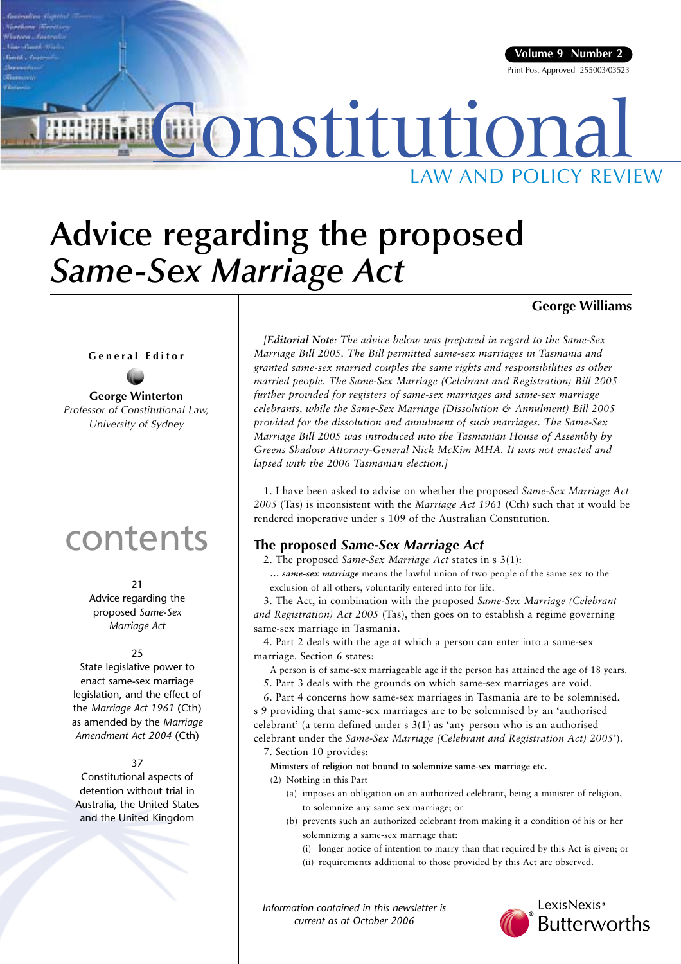Print Post Approved 255003/03523 **Volume 9 Number 2**

<span id="page-0-0"></span>Constitutional Constitutional LAW AND POLICY REVIEW

# **Advice regarding the proposed** *Same-Sex Marriage Act*

### **George Williams**

**General Editor**

**George Winterton** *Professor of Constitutional Law, University of Sydney*

## contents

21 [Advice regarding the](#page-0-0) proposed *Same-Sex Marriage Act*

### 25

State legislative power to enact same-sex marriage [legislation, and the effect of](#page-4-0) the *Marriage Act 1961* (Cth) as amended by the *Marriage Amendment Act 2004* (Cth)

### 37

Constitutional aspects of detention without trial in [Australia, the United States](#page-16-0) and the United Kingdom

*[Editorial Note: The advice below was prepared in regard to the Same-Sex Marriage Bill 2005. The Bill permitted same-sex marriages in Tasmania and granted same-sex married couples the same rights and responsibilities as other married people. The Same-Sex Marriage (Celebrant and Registration) Bill 2005 further provided for registers of same-sex marriages and same-sex marriage celebrants, while the Same-Sex Marriage (Dissolution & Annulment) Bill 2005 provided for the dissolution and annulment of such marriages. The Same-Sex Marriage Bill 2005 was introduced into the Tasmanian House of Assembly by Greens Shadow Attorney-General Nick McKim MHA. It was not enacted and lapsed with the 2006 Tasmanian election.]*

1. I have been asked to advise on whether the proposed *Same-Sex Marriage Act 2005* (Tas) is inconsistent with the *Marriage Act 1961* (Cth) such that it would be rendered inoperative under s 109 of the Australian Constitution.

### **The proposed** *Same-Sex Marriage Act*

2. The proposed *Same-Sex Marriage Act* states in s 3(1):

**…** *same-sex marriage* means the lawful union of two people of the same sex to the exclusion of all others, voluntarily entered into for life.

3. The Act, in combination with the proposed *Same-Sex Marriage (Celebrant and Registration) Act 2005* (Tas), then goes on to establish a regime governing same-sex marriage in Tasmania.

4. Part 2 deals with the age at which a person can enter into a same-sex marriage. Section 6 states:

A person is of same-sex marriageable age if the person has attained the age of 18 years. 5. Part 3 deals with the grounds on which same-sex marriages are void.

6. Part 4 concerns how same-sex marriages in Tasmania are to be solemnised,

s 9 providing that same-sex marriages are to be solemnised by an 'authorised

celebrant' (a term defined under s 3(1) as 'any person who is an authorised celebrant under the *Same-Sex Marriage (Celebrant and Registration Act) 2005*').

7. Section 10 provides:

**Ministers of religion not bound to solemnize same-sex marriage etc.**

- (2) Nothing in this Part
	- (a) imposes an obligation on an authorized celebrant, being a minister of religion, to solemnize any same-sex marriage; or
	- (b) prevents such an authorized celebrant from making it a condition of his or her solemnizing a same-sex marriage that:
		- (i) longer notice of intention to marry than that required by this Act is given; or
		- (ii) requirements additional to those provided by this Act are observed.

*Information contained in this newsletter is current as at October 2006*

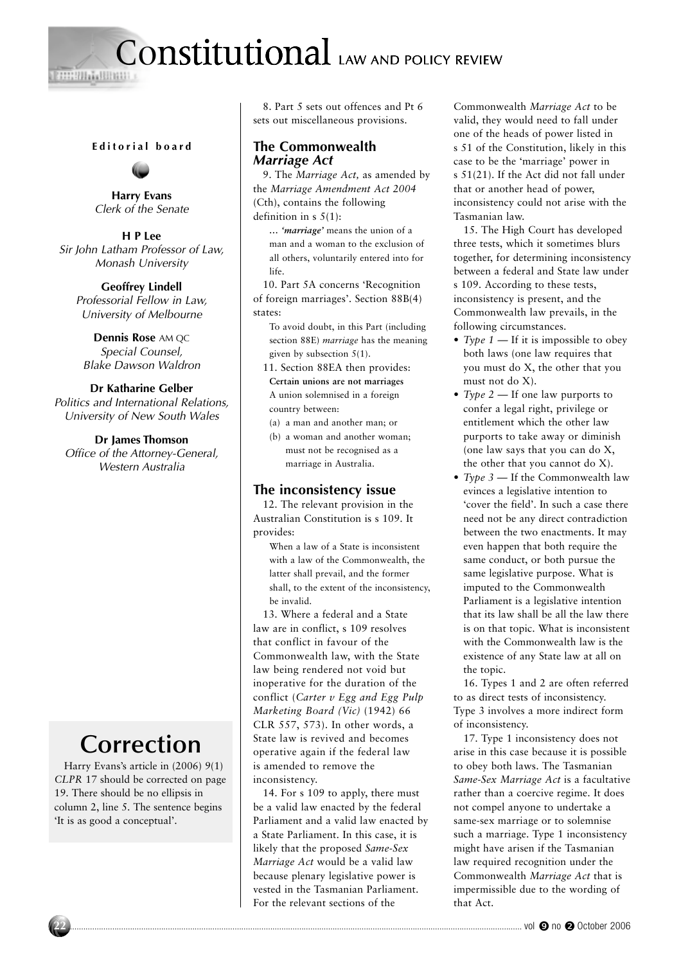**Editorial board**



**Harry Evans** *Clerk of the Senate*

**H P Lee** *Sir John Latham Professor of Law, Monash University*

### **Geoffrey Lindell**

*Professorial Fellow in Law, University of Melbourne*

**Dennis Rose** AM QC *Special Counsel, Blake Dawson Waldron*

### **Dr Katharine Gelber**

*Politics and International Relations, University of New South Wales*

**Dr James Thomson** *Office of the Attorney-General, Western Australia*

### **Correction**

Harry Evans's article in (2006) 9(1) *CLPR* 17 should be corrected on page 19. There should be no ellipsis in column 2, line 5. The sentence begins 'It is as good a conceptual'.

8. Part 5 sets out offences and Pt 6 sets out miscellaneous provisions.

### **The Commonwealth** *Marriage Act*

9. The *Marriage Act,* as amended by the *Marriage Amendment Act 2004* (Cth), contains the following definition in s 5(1):

*… 'marriage'* means the union of a man and a woman to the exclusion of all others, voluntarily entered into for life.

10. Part 5A concerns 'Recognition of foreign marriages'. Section 88B(4) states:

To avoid doubt, in this Part (including section 88E) *marriage* has the meaning given by subsection 5(1).

11. Section 88EA then provides: **Certain unions are not marriages** A union solemnised in a foreign country between:

- (a) a man and another man; or
- (b) a woman and another woman; must not be recognised as a marriage in Australia.

### **The inconsistency issue**

12. The relevant provision in the Australian Constitution is s 109. It provides:

When a law of a State is inconsistent with a law of the Commonwealth, the latter shall prevail, and the former shall, to the extent of the inconsistency, be invalid.

13. Where a federal and a State law are in conflict, s 109 resolves that conflict in favour of the Commonwealth law, with the State law being rendered not void but inoperative for the duration of the conflict (*Carter v Egg and Egg Pulp Marketing Board (Vic)* (1942) 66 CLR 557, 573). In other words, a State law is revived and becomes operative again if the federal law is amended to remove the inconsistency.

14. For s 109 to apply, there must be a valid law enacted by the federal Parliament and a valid law enacted by a State Parliament. In this case, it is likely that the proposed *Same-Sex Marriage Act* would be a valid law because plenary legislative power is vested in the Tasmanian Parliament. For the relevant sections of the

Commonwealth *Marriage Act* to be valid, they would need to fall under one of the heads of power listed in s 51 of the Constitution, likely in this case to be the 'marriage' power in s 51(21). If the Act did not fall under that or another head of power, inconsistency could not arise with the Tasmanian law.

15. The High Court has developed three tests, which it sometimes blurs together, for determining inconsistency between a federal and State law under s 109. According to these tests, inconsistency is present, and the Commonwealth law prevails, in the following circumstances.

- *Type 1* If it is impossible to obey both laws (one law requires that you must do X, the other that you must not do X).
- *Type 2* If one law purports to confer a legal right, privilege or entitlement which the other law purports to take away or diminish (one law says that you can do X, the other that you cannot do X).
- *Type 3* If the Commonwealth law evinces a legislative intention to 'cover the field'. In such a case there need not be any direct contradiction between the two enactments. It may even happen that both require the same conduct, or both pursue the same legislative purpose. What is imputed to the Commonwealth Parliament is a legislative intention that its law shall be all the law there is on that topic. What is inconsistent with the Commonwealth law is the existence of any State law at all on the topic.

16. Types 1 and 2 are often referred to as direct tests of inconsistency. Type 3 involves a more indirect form of inconsistency.

17. Type 1 inconsistency does not arise in this case because it is possible to obey both laws. The Tasmanian *Same-Sex Marriage Act* is a facultative rather than a coercive regime. It does not compel anyone to undertake a same-sex marriage or to solemnise such a marriage. Type 1 inconsistency might have arisen if the Tasmanian law required recognition under the Commonwealth *Marriage Act* that is impermissible due to the wording of that Act.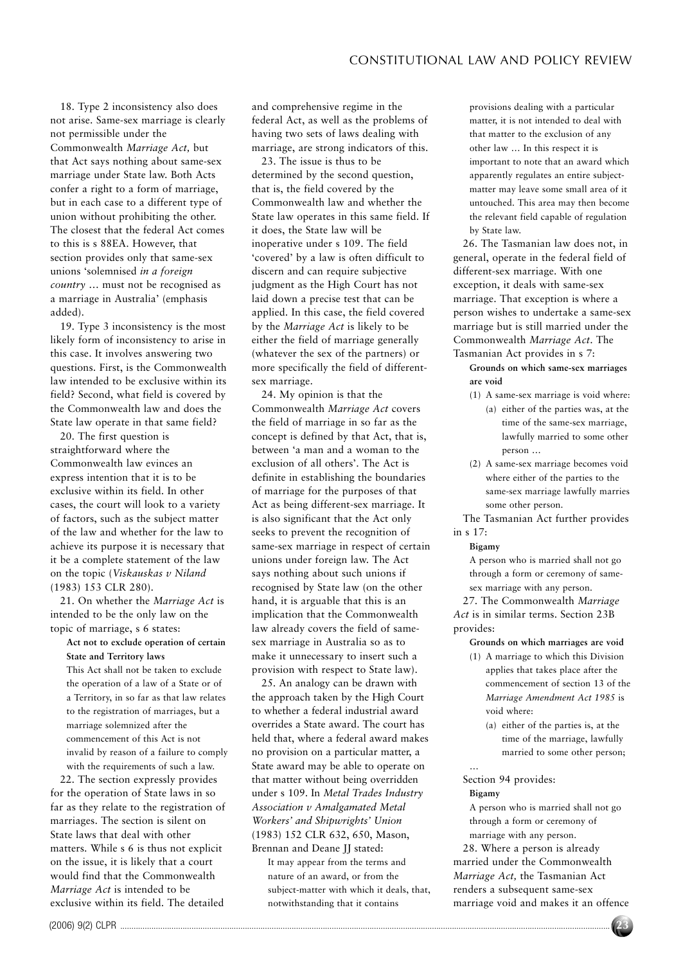18. Type 2 inconsistency also does not arise. Same-sex marriage is clearly not permissible under the Commonwealth *Marriage Act,* but that Act says nothing about same-sex marriage under State law. Both Acts confer a right to a form of marriage, but in each case to a different type of union without prohibiting the other. The closest that the federal Act comes to this is s 88EA. However, that section provides only that same-sex unions 'solemnised *in a foreign country* … must not be recognised as a marriage in Australia' (emphasis added).

19. Type 3 inconsistency is the most likely form of inconsistency to arise in this case. It involves answering two questions. First, is the Commonwealth law intended to be exclusive within its field? Second, what field is covered by the Commonwealth law and does the State law operate in that same field?

20. The first question is straightforward where the Commonwealth law evinces an express intention that it is to be exclusive within its field. In other cases, the court will look to a variety of factors, such as the subject matter of the law and whether for the law to achieve its purpose it is necessary that it be a complete statement of the law on the topic (*Viskauskas v Niland* (1983) 153 CLR 280).

21. On whether the *Marriage Act* is intended to be the only law on the topic of marriage, s 6 states:

**Act not to exclude operation of certain State and Territory laws**

This Act shall not be taken to exclude the operation of a law of a State or of a Territory, in so far as that law relates to the registration of marriages, but a marriage solemnized after the commencement of this Act is not invalid by reason of a failure to comply with the requirements of such a law.

22. The section expressly provides for the operation of State laws in so far as they relate to the registration of marriages. The section is silent on State laws that deal with other matters. While s 6 is thus not explicit on the issue, it is likely that a court would find that the Commonwealth *Marriage Act* is intended to be exclusive within its field. The detailed

and comprehensive regime in the federal Act, as well as the problems of having two sets of laws dealing with marriage, are strong indicators of this.

23. The issue is thus to be determined by the second question, that is, the field covered by the Commonwealth law and whether the State law operates in this same field. If it does, the State law will be inoperative under s 109. The field 'covered' by a law is often difficult to discern and can require subjective judgment as the High Court has not laid down a precise test that can be applied. In this case, the field covered by the *Marriage Act* is likely to be either the field of marriage generally (whatever the sex of the partners) or more specifically the field of differentsex marriage.

24. My opinion is that the Commonwealth *Marriage Act* covers the field of marriage in so far as the concept is defined by that Act, that is, between 'a man and a woman to the exclusion of all others'. The Act is definite in establishing the boundaries of marriage for the purposes of that Act as being different-sex marriage. It is also significant that the Act only seeks to prevent the recognition of same-sex marriage in respect of certain unions under foreign law. The Act says nothing about such unions if recognised by State law (on the other hand, it is arguable that this is an implication that the Commonwealth law already covers the field of samesex marriage in Australia so as to make it unnecessary to insert such a provision with respect to State law).

25. An analogy can be drawn with the approach taken by the High Court to whether a federal industrial award overrides a State award. The court has held that, where a federal award makes no provision on a particular matter, a State award may be able to operate on that matter without being overridden under s 109. In *Metal Trades Industry Association v Amalgamated Metal Workers' and Shipwrights' Union* (1983) 152 CLR 632, 650, Mason, Brennan and Deane II stated:

It may appear from the terms and nature of an award, or from the subject-matter with which it deals, that, notwithstanding that it contains

provisions dealing with a particular matter, it is not intended to deal with that matter to the exclusion of any other law … In this respect it is important to note that an award which apparently regulates an entire subjectmatter may leave some small area of it untouched. This area may then become the relevant field capable of regulation by State law.

26. The Tasmanian law does not, in general, operate in the federal field of different-sex marriage. With one exception, it deals with same-sex marriage. That exception is where a person wishes to undertake a same-sex marriage but is still married under the Commonwealth *Marriage Act*. The Tasmanian Act provides in s 7:

**Grounds on which same-sex marriages are void**

- (1) A same-sex marriage is void where: (a) either of the parties was, at the time of the same-sex marriage, lawfully married to some other person …
- (2) A same-sex marriage becomes void where either of the parties to the same-sex marriage lawfully marries some other person.

The Tasmanian Act further provides in s 17:

#### **Bigamy**

A person who is married shall not go through a form or ceremony of samesex marriage with any person.

27. The Commonwealth *Marriage Act* is in similar terms. Section 23B provides:

**Grounds on which marriages are void**

- (1) A marriage to which this Division applies that takes place after the commencement of section 13 of the *Marriage Amendment Act 1985* is void where:
	- (a) either of the parties is, at the time of the marriage, lawfully married to some other person;

### Section 94 provides: **Bigamy**

…

A person who is married shall not go through a form or ceremony of marriage with any person.

28. Where a person is already married under the Commonwealth *Marriage Act,* the Tasmanian Act renders a subsequent same-sex marriage void and makes it an offence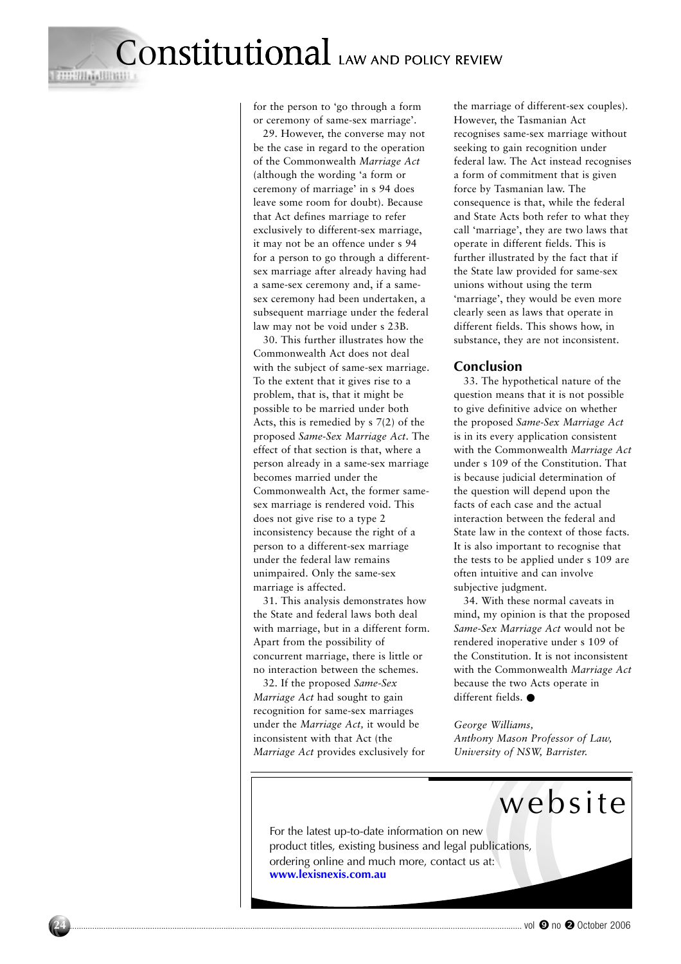for the person to 'go through a form or ceremony of same-sex marriage'.

29. However, the converse may not be the case in regard to the operation of the Commonwealth *Marriage Act* (although the wording 'a form or ceremony of marriage' in s 94 does leave some room for doubt). Because that Act defines marriage to refer exclusively to different-sex marriage, it may not be an offence under s 94 for a person to go through a differentsex marriage after already having had a same-sex ceremony and, if a samesex ceremony had been undertaken, a subsequent marriage under the federal law may not be void under s 23B.

30. This further illustrates how the Commonwealth Act does not deal with the subject of same-sex marriage. To the extent that it gives rise to a problem, that is, that it might be possible to be married under both Acts, this is remedied by s 7(2) of the proposed *Same-Sex Marriage Act*. The effect of that section is that, where a person already in a same-sex marriage becomes married under the Commonwealth Act, the former samesex marriage is rendered void. This does not give rise to a type 2 inconsistency because the right of a person to a different-sex marriage under the federal law remains unimpaired. Only the same-sex marriage is affected.

31. This analysis demonstrates how the State and federal laws both deal with marriage, but in a different form. Apart from the possibility of concurrent marriage, there is little or no interaction between the schemes.

32. If the proposed *Same-Sex Marriage Act* had sought to gain recognition for same-sex marriages under the *Marriage Act,* it would be inconsistent with that Act (the *Marriage Act* provides exclusively for the marriage of different-sex couples). However, the Tasmanian Act recognises same-sex marriage without seeking to gain recognition under federal law. The Act instead recognises a form of commitment that is given force by Tasmanian law. The consequence is that, while the federal and State Acts both refer to what they call 'marriage', they are two laws that operate in different fields. This is further illustrated by the fact that if the State law provided for same-sex unions without using the term 'marriage', they would be even more clearly seen as laws that operate in different fields. This shows how, in substance, they are not inconsistent.

### **Conclusion**

33. The hypothetical nature of the question means that it is not possible to give definitive advice on whether the proposed *Same-Sex Marriage Act* is in its every application consistent with the Commonwealth *Marriage Act* under s 109 of the Constitution. That is because judicial determination of the question will depend upon the facts of each case and the actual interaction between the federal and State law in the context of those facts. It is also important to recognise that the tests to be applied under s 109 are often intuitive and can involve subjective judgment.

34. With these normal caveats in mind, my opinion is that the proposed *Same-Sex Marriage Act* would not be rendered inoperative under s 109 of the Constitution. It is not inconsistent with the Commonwealth *Marriage Act* because the two Acts operate in different fields. ●

*George Williams, Anthony Mason Professor of Law, University of NSW, Barrister.* 



For the latest up-to-date information on new product titles, existing business and legal publications, ordering online and much more, contact us at: **[www.lexisnexis.com.au](http://www.lexisnexis.com.au)**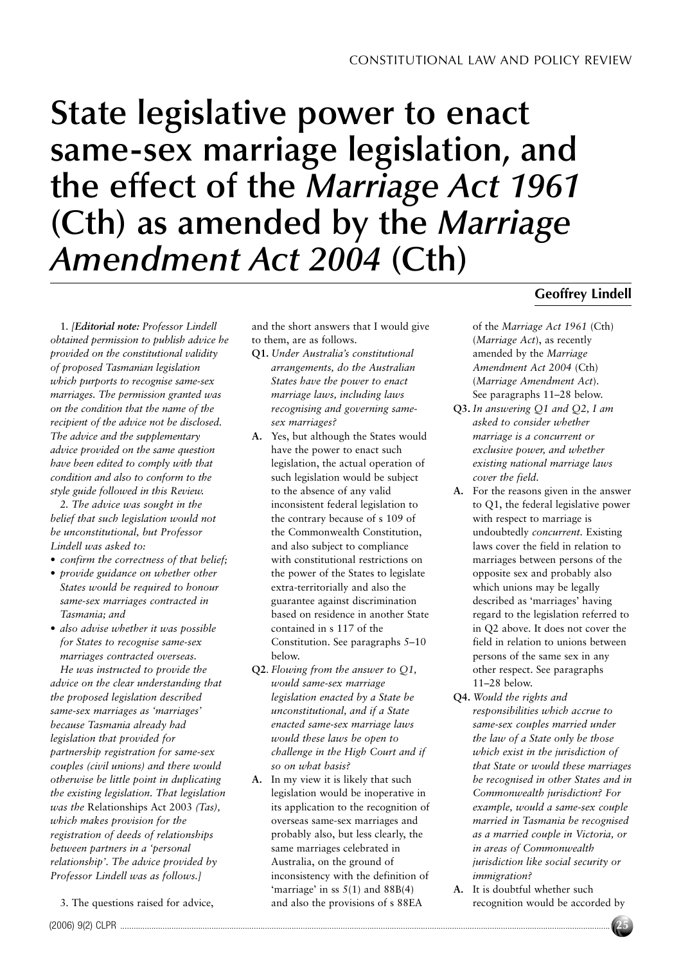# <span id="page-4-0"></span>**State legislative power to enact same-sex marriage legislation, and the effect of the** *Marriage Act 1961* **(Cth) as amended by the** *Marriage Amendment Act 2004* **(Cth)**

1. *[Editorial note: Professor Lindell obtained permission to publish advice he provided on the constitutional validity of proposed Tasmanian legislation which purports to recognise same-sex marriages. The permission granted was on the condition that the name of the recipient of the advice not be disclosed. The advice and the supplementary advice provided on the same question have been edited to comply with that condition and also to conform to the style guide followed in this Review.* 

*2. The advice was sought in the belief that such legislation would not be unconstitutional, but Professor Lindell was asked to:* 

- *confirm the correctness of that belief;*
- *provide guidance on whether other States would be required to honour same-sex marriages contracted in Tasmania; and*
- *also advise whether it was possible for States to recognise same-sex marriages contracted overseas.*

*He was instructed to provide the advice on the clear understanding that the proposed legislation described same-sex marriages as 'marriages' because Tasmania already had legislation that provided for partnership registration for same-sex couples (civil unions) and there would otherwise be little point in duplicating the existing legislation. That legislation was the* Relationships Act 2003 *(Tas), which makes provision for the registration of deeds of relationships between partners in a 'personal relationship'. The advice provided by Professor Lindell was as follows.]*

3. The questions raised for advice,

and the short answers that I would give to them, are as follows.

- **Q1.** *Under Australia's constitutional arrangements, do the Australian States have the power to enact marriage laws, including laws recognising and governing samesex marriages?*
- **A.** Yes, but although the States would have the power to enact such legislation, the actual operation of such legislation would be subject to the absence of any valid inconsistent federal legislation to the contrary because of s 109 of the Commonwealth Constitution, and also subject to compliance with constitutional restrictions on the power of the States to legislate extra-territorially and also the guarantee against discrimination based on residence in another State contained in s 117 of the Constitution. See paragraphs 5–10 below.
- **Q2**. *Flowing from the answer to Q1, would same-sex marriage legislation enacted by a State be unconstitutional, and if a State enacted same-sex marriage laws would these laws be open to challenge in the High Court and if so on what basis?*
- **A.** In my view it is likely that such legislation would be inoperative in its application to the recognition of overseas same-sex marriages and probably also, but less clearly, the same marriages celebrated in Australia, on the ground of inconsistency with the definition of 'marriage' in ss  $5(1)$  and  $88B(4)$ and also the provisions of s 88EA

### of the *Marriage Act 1961* (Cth) (*Marriage Act*), as recently amended by the *Marriage Amendment Act 2004* (Cth) (*Marriage Amendment Act*). See paragraphs 11–28 below.

**Geoffrey Lindell** 

- **Q3.** *In answering Q1 and Q2, I am asked to consider whether marriage is a concurrent or exclusive power, and whether existing national marriage laws cover the field.*
- **A.** For the reasons given in the answer to Q1, the federal legislative power with respect to marriage is undoubtedly *concurrent.* Existing laws cover the field in relation to marriages between persons of the opposite sex and probably also which unions may be legally described as 'marriages' having regard to the legislation referred to in Q2 above. It does not cover the field in relation to unions between persons of the same sex in any other respect. See paragraphs 11–28 below.
- **Q4.** *Would the rights and responsibilities which accrue to same-sex couples married under the law of a State only be those which exist in the jurisdiction of that State or would these marriages be recognised in other States and in Commonwealth jurisdiction? For example, would a same-sex couple married in Tasmania be recognised as a married couple in Victoria, or in areas of Commonwealth jurisdiction like social security or immigration?*
- **A.** It is doubtful whether such recognition would be accorded by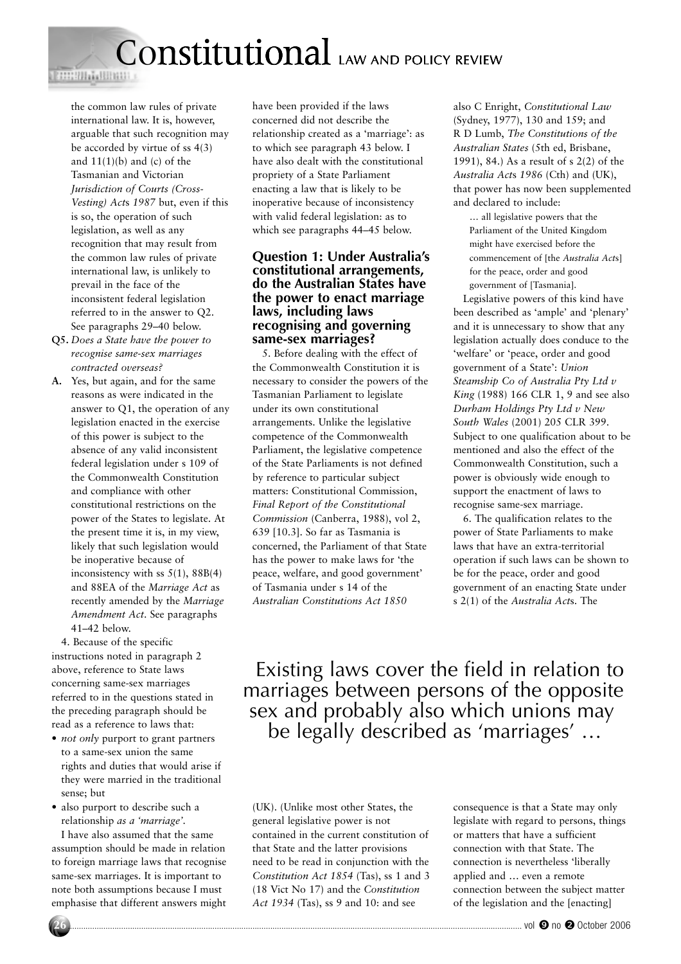the common law rules of private international law. It is, however, arguable that such recognition may be accorded by virtue of ss 4(3) and  $11(1)(b)$  and (c) of the Tasmanian and Victorian *Jurisdiction of Courts (Cross-Vesting) Act*s *1987* but, even if this is so, the operation of such legislation, as well as any recognition that may result from the common law rules of private international law, is unlikely to prevail in the face of the inconsistent federal legislation referred to in the answer to Q2. See paragraphs 29–40 below.

- **Q5.** *Does a State have the power to recognise same-sex marriages contracted overseas?*
- **A.** Yes, but again, and for the same reasons as were indicated in the answer to Q1, the operation of any legislation enacted in the exercise of this power is subject to the absence of any valid inconsistent federal legislation under s 109 of the Commonwealth Constitution and compliance with other constitutional restrictions on the power of the States to legislate. At the present time it is, in my view, likely that such legislation would be inoperative because of inconsistency with ss  $5(1)$ ,  $88B(4)$ and 88EA of the *Marriage Act* as recently amended by the *Marriage Amendment Act*. See paragraphs 41–42 below.

4. Because of the specific instructions noted in paragraph 2 above, reference to State laws concerning same-sex marriages referred to in the questions stated in the preceding paragraph should be read as a reference to laws that:

- *not only* purport to grant partners to a same-sex union the same rights and duties that would arise if they were married in the traditional sense; but
- also purport to describe such a relationship *as a 'marriage'.*

I have also assumed that the same assumption should be made in relation to foreign marriage laws that recognise same-sex marriages. It is important to note both assumptions because I must emphasise that different answers might have been provided if the laws concerned did not describe the relationship created as a 'marriage': as to which see paragraph 43 below. I have also dealt with the constitutional propriety of a State Parliament enacting a law that is likely to be inoperative because of inconsistency with valid federal legislation: as to which see paragraphs 44–45 below.

### **Question 1: Under Australia's constitutional arrangements, do the Australian States have the power to enact marriage laws, including laws recognising and governing same-sex marriages?**

5. Before dealing with the effect of the Commonwealth Constitution it is necessary to consider the powers of the Tasmanian Parliament to legislate under its own constitutional arrangements. Unlike the legislative competence of the Commonwealth Parliament, the legislative competence of the State Parliaments is not defined by reference to particular subject matters: Constitutional Commission, *Final Report of the Constitutional Commission* (Canberra, 1988), vol 2, 639 [10.3]. So far as Tasmania is concerned, the Parliament of that State has the power to make laws for 'the peace, welfare, and good government' of Tasmania under s 14 of the *Australian Constitutions Act 1850*

also C Enright, *Constitutional Law* (Sydney, 1977), 130 and 159; and R D Lumb, *The Constitutions of the Australian States* (5th ed, Brisbane, 1991), 84.) As a result of s 2(2) of the *Australia Act*s *1986* (Cth) and (UK), that power has now been supplemented and declared to include:

… all legislative powers that the Parliament of the United Kingdom might have exercised before the commencement of [the *Australia Act*s] for the peace, order and good government of [Tasmania].

Legislative powers of this kind have been described as 'ample' and 'plenary' and it is unnecessary to show that any legislation actually does conduce to the 'welfare' or 'peace, order and good government of a State': *Union Steamship Co of Australia Pty Ltd v King* (1988) 166 CLR 1, 9 and see also *Durham Holdings Pty Ltd v New South Wales* (2001) 205 CLR 399. Subject to one qualification about to be mentioned and also the effect of the Commonwealth Constitution, such a power is obviously wide enough to support the enactment of laws to recognise same-sex marriage.

6. The qualification relates to the power of State Parliaments to make laws that have an extra-territorial operation if such laws can be shown to be for the peace, order and good government of an enacting State under s 2(1) of the *Australia Act*s. The

### Existing laws cover the field in relation to marriages between persons of the opposite sex and probably also which unions may be legally described as 'marriages' …

(UK). (Unlike most other States, the general legislative power is not contained in the current constitution of that State and the latter provisions need to be read in conjunction with the *Constitution Act 1854* (Tas), ss 1 and 3 (18 Vict No 17) and the *Constitution Act 1934* (Tas), ss 9 and 10: and see

consequence is that a State may only legislate with regard to persons, things or matters that have a sufficient connection with that State. The connection is nevertheless 'liberally applied and … even a remote connection between the subject matter of the legislation and the [enacting]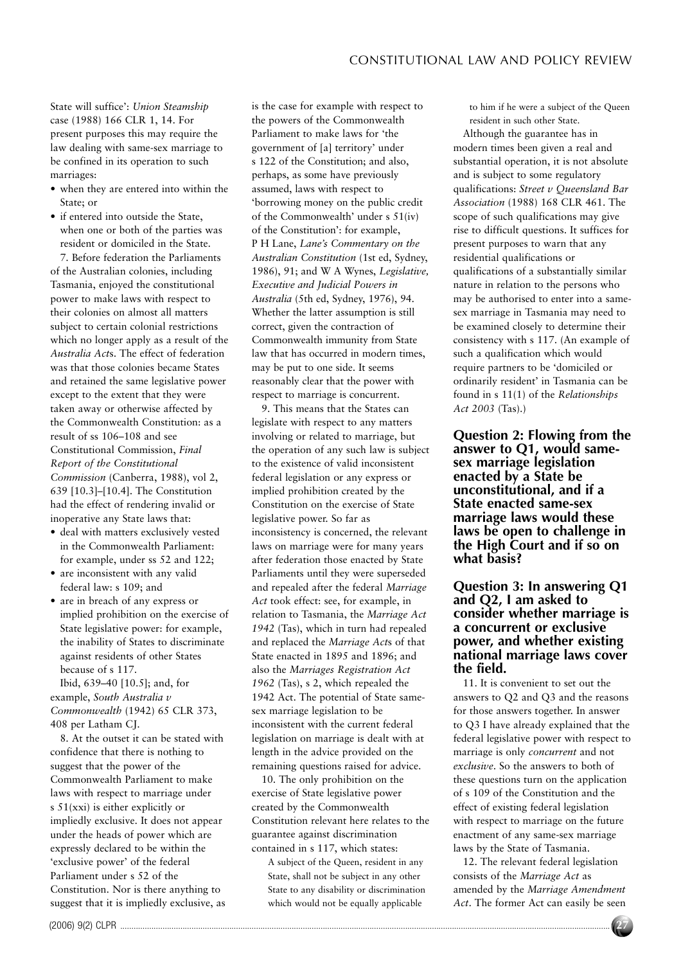State will suffice': *Union Steamship* case (1988) 166 CLR 1, 14. For present purposes this may require the law dealing with same-sex marriage to be confined in its operation to such marriages:

- when they are entered into within the State; or
- if entered into outside the State, when one or both of the parties was resident or domiciled in the State. 7. Before federation the Parliaments

of the Australian colonies, including Tasmania, enjoyed the constitutional power to make laws with respect to their colonies on almost all matters subject to certain colonial restrictions which no longer apply as a result of the *Australia Act*s. The effect of federation was that those colonies became States and retained the same legislative power except to the extent that they were taken away or otherwise affected by the Commonwealth Constitution: as a result of ss 106–108 and see Constitutional Commission, *Final Report of the Constitutional Commission* (Canberra, 1988), vol 2, 639 [10.3]–[10.4]. The Constitution had the effect of rendering invalid or inoperative any State laws that:

- deal with matters exclusively vested in the Commonwealth Parliament: for example, under ss 52 and 122;
- are inconsistent with any valid federal law: s 109; and
- are in breach of any express or implied prohibition on the exercise of State legislative power: for example, the inability of States to discriminate against residents of other States because of s 117.

Ibid, 639–40 [10.5]; and, for example, *South Australia v Commonwealth* (1942) 65 CLR 373, 408 per Latham CJ.

8. At the outset it can be stated with confidence that there is nothing to suggest that the power of the Commonwealth Parliament to make laws with respect to marriage under s 51(xxi) is either explicitly or impliedly exclusive. It does not appear under the heads of power which are expressly declared to be within the 'exclusive power' of the federal Parliament under s 52 of the Constitution. Nor is there anything to suggest that it is impliedly exclusive, as

is the case for example with respect to the powers of the Commonwealth Parliament to make laws for 'the government of [a] territory' under s 122 of the Constitution; and also, perhaps, as some have previously assumed, laws with respect to 'borrowing money on the public credit of the Commonwealth' under s 51(iv) of the Constitution': for example, P H Lane, *Lane's Commentary on the Australian Constitution* (1st ed, Sydney, 1986), 91; and W A Wynes, *Legislative, Executive and Judicial Powers in Australia* (5th ed, Sydney, 1976), 94. Whether the latter assumption is still correct, given the contraction of Commonwealth immunity from State law that has occurred in modern times, may be put to one side. It seems reasonably clear that the power with respect to marriage is concurrent.

9. This means that the States can legislate with respect to any matters involving or related to marriage, but the operation of any such law is subject to the existence of valid inconsistent federal legislation or any express or implied prohibition created by the Constitution on the exercise of State legislative power. So far as inconsistency is concerned, the relevant laws on marriage were for many years after federation those enacted by State Parliaments until they were superseded and repealed after the federal *Marriage Act* took effect: see, for example, in relation to Tasmania, the *Marriage Act 1942* (Tas), which in turn had repealed and replaced the *Marriage Act*s of that State enacted in 1895 and 1896; and also the *Marriages Registration Act 1962* (Tas), s 2, which repealed the 1942 Act. The potential of State samesex marriage legislation to be inconsistent with the current federal legislation on marriage is dealt with at length in the advice provided on the remaining questions raised for advice.

10. The only prohibition on the exercise of State legislative power created by the Commonwealth Constitution relevant here relates to the guarantee against discrimination contained in s 117, which states:

A subject of the Queen, resident in any State, shall not be subject in any other State to any disability or discrimination which would not be equally applicable

to him if he were a subject of the Queen resident in such other State.

Although the guarantee has in modern times been given a real and substantial operation, it is not absolute and is subject to some regulatory qualifications: *Street v Queensland Bar Association* (1988) 168 CLR 461. The scope of such qualifications may give rise to difficult questions. It suffices for present purposes to warn that any residential qualifications or qualifications of a substantially similar nature in relation to the persons who may be authorised to enter into a samesex marriage in Tasmania may need to be examined closely to determine their consistency with s 117. (An example of such a qualification which would require partners to be 'domiciled or ordinarily resident' in Tasmania can be found in s 11(1) of the *Relationships Act 2003* (Tas).)

**Question 2: Flowing from the answer to Q1, would samesex marriage legislation enacted by a State be unconstitutional, and if a State enacted same-sex marriage laws would these laws be open to challenge in the High Court and if so on what basis?**

### **Question 3: In answering Q1 and Q2, I am asked to consider whether marriage is a concurrent or exclusive power, and whether existing national marriage laws cover the field.**

11. It is convenient to set out the answers to Q2 and Q3 and the reasons for those answers together. In answer to Q3 I have already explained that the federal legislative power with respect to marriage is only *concurrent* and not *exclusive*. So the answers to both of these questions turn on the application of s 109 of the Constitution and the effect of existing federal legislation with respect to marriage on the future enactment of any same-sex marriage laws by the State of Tasmania.

12. The relevant federal legislation consists of the *Marriage Act* as amended by the *Marriage Amendment Act*. The former Act can easily be seen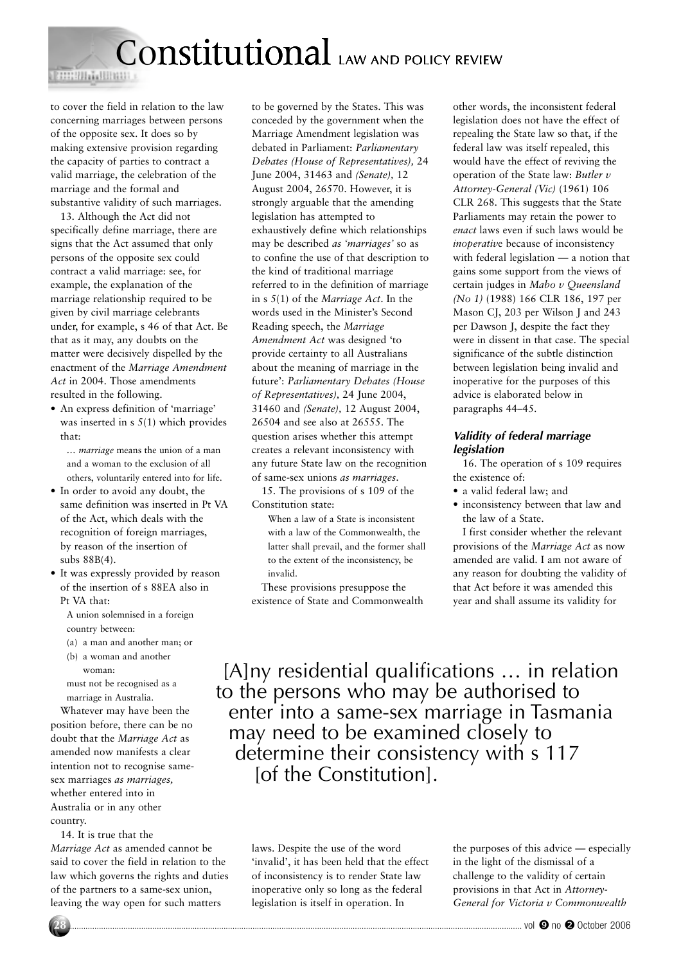to cover the field in relation to the law concerning marriages between persons of the opposite sex. It does so by making extensive provision regarding the capacity of parties to contract a valid marriage, the celebration of the marriage and the formal and substantive validity of such marriages.

13. Although the Act did not specifically define marriage, there are signs that the Act assumed that only persons of the opposite sex could contract a valid marriage: see, for example, the explanation of the marriage relationship required to be given by civil marriage celebrants under, for example, s 46 of that Act. Be that as it may, any doubts on the matter were decisively dispelled by the enactment of the *Marriage Amendment Act* in 2004. Those amendments resulted in the following.

• An express definition of 'marriage' was inserted in s 5(1) which provides that:

*… marriage* means the union of a man and a woman to the exclusion of all others, voluntarily entered into for life.

- In order to avoid any doubt, the same definition was inserted in Pt VA of the Act, which deals with the recognition of foreign marriages, by reason of the insertion of subs 88B(4).
- It was expressly provided by reason of the insertion of s 88EA also in Pt VA that:

A union solemnised in a foreign country between:

(a) a man and another man; or (b) a woman and another

woman: must not be recognised as a marriage in Australia.

Whatever may have been the position before, there can be no doubt that the *Marriage Act* as amended now manifests a clear intention not to recognise samesex marriages *as marriages,* whether entered into in Australia or in any other country.

14. It is true that the *Marriage Act* as amended cannot be said to cover the field in relation to the law which governs the rights and duties of the partners to a same-sex union, leaving the way open for such matters

to be governed by the States. This was conceded by the government when the Marriage Amendment legislation was debated in Parliament: *Parliamentary Debates (House of Representatives),* 24 June 2004, 31463 and *(Senate),* 12 August 2004, 26570. However, it is strongly arguable that the amending legislation has attempted to exhaustively define which relationships may be described *as 'marriages'* so as to confine the use of that description to the kind of traditional marriage referred to in the definition of marriage in s 5(1) of the *Marriage Act*. In the words used in the Minister's Second Reading speech, the *Marriage Amendment Act* was designed 'to provide certainty to all Australians about the meaning of marriage in the future': *Parliamentary Debates (House of Representatives),* 24 June 2004, 31460 and *(Senate),* 12 August 2004, 26504 and see also at 26555. The question arises whether this attempt creates a relevant inconsistency with any future State law on the recognition of same-sex unions *as marriages*.

15. The provisions of s 109 of the Constitution state:

When a law of a State is inconsistent with a law of the Commonwealth, the latter shall prevail, and the former shall to the extent of the inconsistency, be invalid.

These provisions presuppose the existence of State and Commonwealth other words, the inconsistent federal legislation does not have the effect of repealing the State law so that, if the federal law was itself repealed, this would have the effect of reviving the operation of the State law: *Butler v Attorney-General (Vic)* (1961) 106 CLR 268. This suggests that the State Parliaments may retain the power to *enact* laws even if such laws would be *inoperativ*e because of inconsistency with federal legislation — a notion that gains some support from the views of certain judges in *Mabo v Queensland (No 1)* (1988) 166 CLR 186, 197 per Mason CJ, 203 per Wilson J and 243 per Dawson J, despite the fact they were in dissent in that case. The special significance of the subtle distinction between legislation being invalid and inoperative for the purposes of this advice is elaborated below in paragraphs 44–45.

### *Validity of federal marriage legislation*

16. The operation of s 109 requires the existence of:

- a valid federal law; and
- inconsistency between that law and the law of a State.

I first consider whether the relevant provisions of the *Marriage Act* as now amended are valid. I am not aware of any reason for doubting the validity of that Act before it was amended this year and shall assume its validity for

### [A]ny residential qualifications … in relation to the persons who may be authorised to enter into a same-sex marriage in Tasmania may need to be examined closely to determine their consistency with s 117 [of the Constitution].

laws. Despite the use of the word 'invalid', it has been held that the effect of inconsistency is to render State law inoperative only so long as the federal legislation is itself in operation. In

the purposes of this advice — especially in the light of the dismissal of a challenge to the validity of certain provisions in that Act in *Attorney-General for Victoria v Commonwealth*

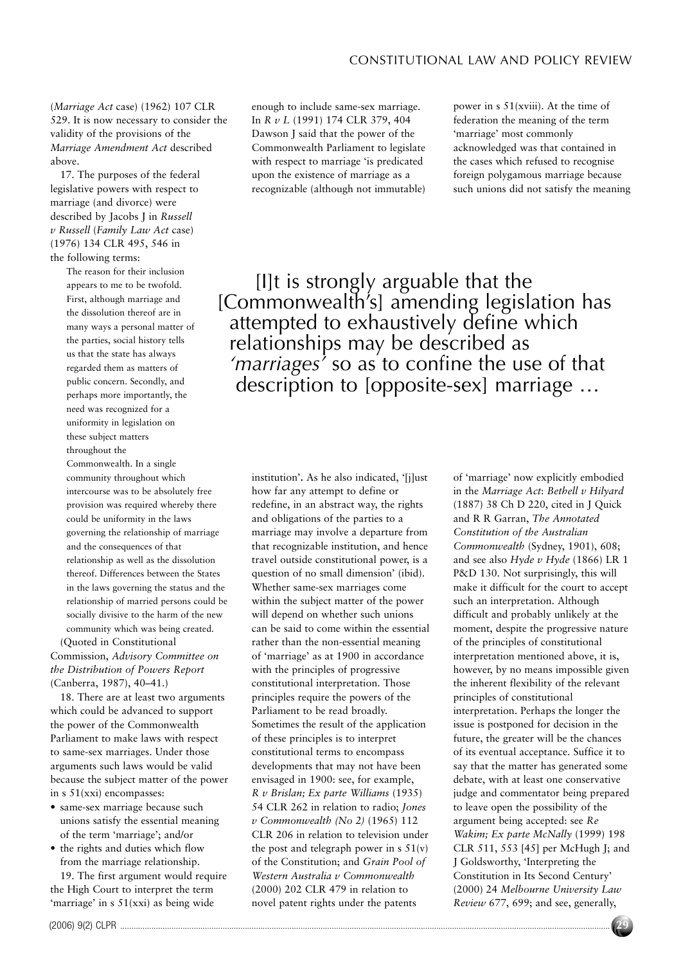(*Marriage Act* case) (1962) 107 CLR 529. It is now necessary to consider the validity of the provisions of the *Marriage Amendment Act* described above.

17. The purposes of the federal legislative powers with respect to marriage (and divorce) were described by Jacobs J in *Russell v Russell* (*Family Law Act* case) (1976) 134 CLR 495, 546 in the following terms:

> The reason for their inclusion appears to me to be twofold. First, although marriage and the dissolution thereof are in many ways a personal matter of the parties, social history tells us that the state has always regarded them as matters of public concern. Secondly, and perhaps more importantly, the need was recognized for a uniformity in legislation on these subject matters throughout the

Commonwealth. In a single community throughout which intercourse was to be absolutely free provision was required whereby there could be uniformity in the laws governing the relationship of marriage and the consequences of that relationship as well as the dissolution thereof. Differences between the States in the laws governing the status and the relationship of married persons could be socially divisive to the harm of the new community which was being created.

(Quoted in Constitutional Commission, *Advisory Committee on the Distribution of Powers Report* (Canberra, 1987), 40–41.)

18. There are at least two arguments which could be advanced to support the power of the Commonwealth Parliament to make laws with respect to same-sex marriages. Under those arguments such laws would be valid because the subject matter of the power in s  $51(xxi)$  encompasses:

- same-sex marriage because such unions satisfy the essential meaning of the term 'marriage'; and/or
- the rights and duties which flow from the marriage relationship.

19. The first argument would require the High Court to interpret the term 'marriage' in s 51(xxi) as being wide

enough to include same-sex marriage. In *R v L* (1991) 174 CLR 379, 404 Dawson J said that the power of the Commonwealth Parliament to legislate with respect to marriage 'is predicated upon the existence of marriage as a recognizable (although not immutable)

power in s 51(xviii). At the time of federation the meaning of the term 'marriage' most commonly acknowledged was that contained in the cases which refused to recognise foreign polygamous marriage because such unions did not satisfy the meaning

[I]t is strongly arguable that the [Commonwealth's] amending legislation has attempted to exhaustively define which relationships may be described as '*marriages*' so as to confine the use of that description to [opposite-sex] marriage …

institution'**.** As he also indicated, '[j]ust how far any attempt to define or redefine, in an abstract way, the rights and obligations of the parties to a marriage may involve a departure from that recognizable institution, and hence travel outside constitutional power, is a question of no small dimension' (ibid). Whether same-sex marriages come within the subject matter of the power will depend on whether such unions can be said to come within the essential rather than the non-essential meaning of 'marriage' as at 1900 in accordance with the principles of progressive constitutional interpretation. Those principles require the powers of the Parliament to be read broadly. Sometimes the result of the application of these principles is to interpret constitutional terms to encompass developments that may not have been envisaged in 1900: see, for example, *R v Brislan; Ex parte Williams* (1935) 54 CLR 262 in relation to radio; *Jones v Commonwealth (No 2)* (1965) 112 CLR 206 in relation to television under the post and telegraph power in  $s \frac{51(y)}{y}$ of the Constitution; and *Grain Pool of Western Australia v Commonwealth* (2000) 202 CLR 479 in relation to novel patent rights under the patents

of 'marriage' now explicitly embodied in the *Marriage Act*: *Bethell v Hilyard* (1887) 38 Ch D 220, cited in J Quick and R R Garran, *The Annotated Constitution of the Australian Commonwealth* (Sydney, 1901), 608; and see also *Hyde v Hyde* (1866) LR 1 P&D 130. Not surprisingly, this will make it difficult for the court to accept such an interpretation. Although difficult and probably unlikely at the moment, despite the progressive nature of the principles of constitutional interpretation mentioned above, it is, however, by no means impossible given the inherent flexibility of the relevant principles of constitutional interpretation. Perhaps the longer the issue is postponed for decision in the future, the greater will be the chances of its eventual acceptance. Suffice it to say that the matter has generated some debate, with at least one conservative judge and commentator being prepared to leave open the possibility of the argument being accepted: see *Re Wakim; Ex parte McNally* (1999) 198 CLR 511, 553 [45] per McHugh J; and J Goldsworthy, 'Interpreting the Constitution in Its Second Century' (2000) 24 *Melbourne University Law Review* 677, 699; and see, generally,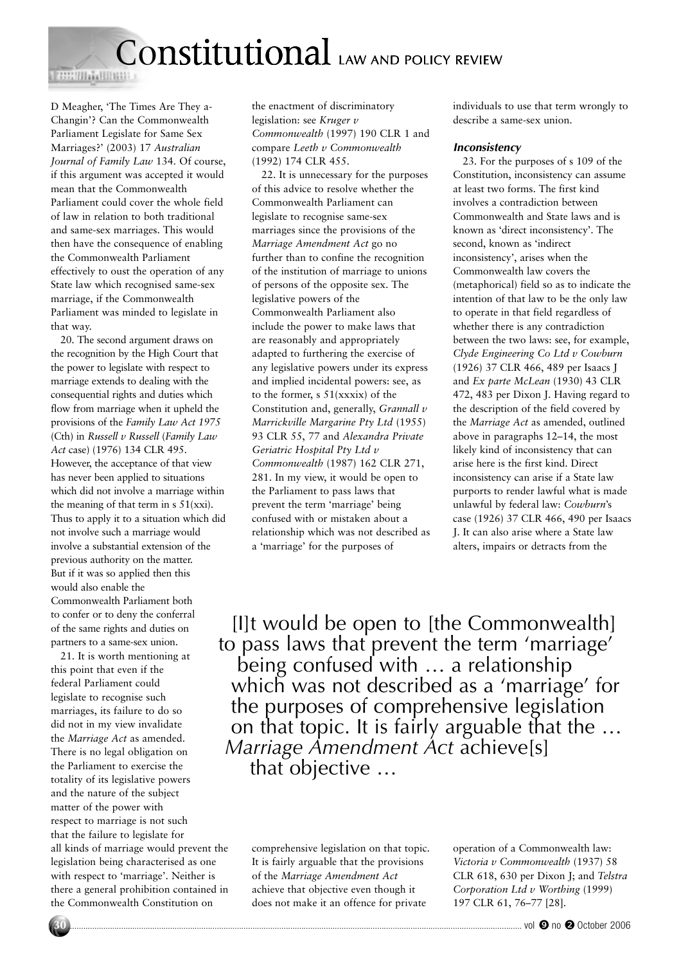D Meagher, 'The Times Are They a-Changin'? Can the Commonwealth Parliament Legislate for Same Sex Marriages?' (2003) 17 *Australian Journal of Family Law* 134. Of course, if this argument was accepted it would mean that the Commonwealth Parliament could cover the whole field of law in relation to both traditional and same-sex marriages. This would then have the consequence of enabling the Commonwealth Parliament effectively to oust the operation of any State law which recognised same-sex marriage, if the Commonwealth Parliament was minded to legislate in that way.

20. The second argument draws on the recognition by the High Court that the power to legislate with respect to marriage extends to dealing with the consequential rights and duties which flow from marriage when it upheld the provisions of the *Family Law Act 1975* (Cth) in *Russell v Russell* (*Family Law Act* case) (1976) 134 CLR 495. However, the acceptance of that view has never been applied to situations which did not involve a marriage within the meaning of that term in  $s \frac{51}{x}$ . Thus to apply it to a situation which did not involve such a marriage would involve a substantial extension of the previous authority on the matter. But if it was so applied then this would also enable the Commonwealth Parliament both to confer or to deny the conferral of the same rights and duties on partners to a same-sex union.

21. It is worth mentioning at this point that even if the federal Parliament could legislate to recognise such marriages, its failure to do so did not in my view invalidate the *Marriage Act* as amended. There is no legal obligation on the Parliament to exercise the totality of its legislative powers and the nature of the subject matter of the power with respect to marriage is not such that the failure to legislate for all kinds of marriage would prevent the legislation being characterised as one with respect to 'marriage'. Neither is there a general prohibition contained in the Commonwealth Constitution on

the enactment of discriminatory legislation: see *Kruger v Commonwealth* (1997) 190 CLR 1 and compare *Leeth v Commonwealth* (1992) 174 CLR 455.

22. It is unnecessary for the purposes of this advice to resolve whether the Commonwealth Parliament can legislate to recognise same-sex marriages since the provisions of the *Marriage Amendment Act* go no further than to confine the recognition of the institution of marriage to unions of persons of the opposite sex. The legislative powers of the Commonwealth Parliament also include the power to make laws that are reasonably and appropriately adapted to furthering the exercise of any legislative powers under its express and implied incidental powers: see, as to the former, s  $51(xxxix)$  of the Constitution and, generally, *Grannall v Marrickville Margarine Pty Ltd* (1955) 93 CLR 55, 77 and *Alexandra Private Geriatric Hospital Pty Ltd v Commonwealth* (1987) 162 CLR 271, 281. In my view, it would be open to the Parliament to pass laws that prevent the term 'marriage' being confused with or mistaken about a relationship which was not described as a 'marriage' for the purposes of

individuals to use that term wrongly to describe a same-sex union.

### *Inconsistency*

23. For the purposes of s 109 of the Constitution, inconsistency can assume at least two forms. The first kind involves a contradiction between Commonwealth and State laws and is known as 'direct inconsistency'. The second, known as 'indirect inconsistency', arises when the Commonwealth law covers the (metaphorical) field so as to indicate the intention of that law to be the only law to operate in that field regardless of whether there is any contradiction between the two laws: see, for example, *Clyde Engineering Co Ltd v Cowburn* (1926) 37 CLR 466, 489 per Isaacs J and *Ex parte McLean* (1930) 43 CLR 472, 483 per Dixon J. Having regard to the description of the field covered by the *Marriage Act* as amended, outlined above in paragraphs 12–14, the most likely kind of inconsistency that can arise here is the first kind. Direct inconsistency can arise if a State law purports to render lawful what is made unlawful by federal law: *Cowburn*'s case (1926) 37 CLR 466, 490 per Isaacs J. It can also arise where a State law alters, impairs or detracts from the

[I]t would be open to [the Commonwealth] to pass laws that prevent the term 'marriage' being confused with ... a relationship which was not described as a 'marriage' for the purposes of comprehensive legislation on that topic. It is fairly arguable that the … *Marriage Amendment Act* achieve[s] that objective …

comprehensive legislation on that topic. It is fairly arguable that the provisions of the *Marriage Amendment Act* achieve that objective even though it does not make it an offence for private

operation of a Commonwealth law: *Victoria v Commonwealth* (1937) 58 CLR 618, 630 per Dixon J; and *Telstra Corporation Ltd v Worthing* (1999) 197 CLR 61, 76–77 [28].

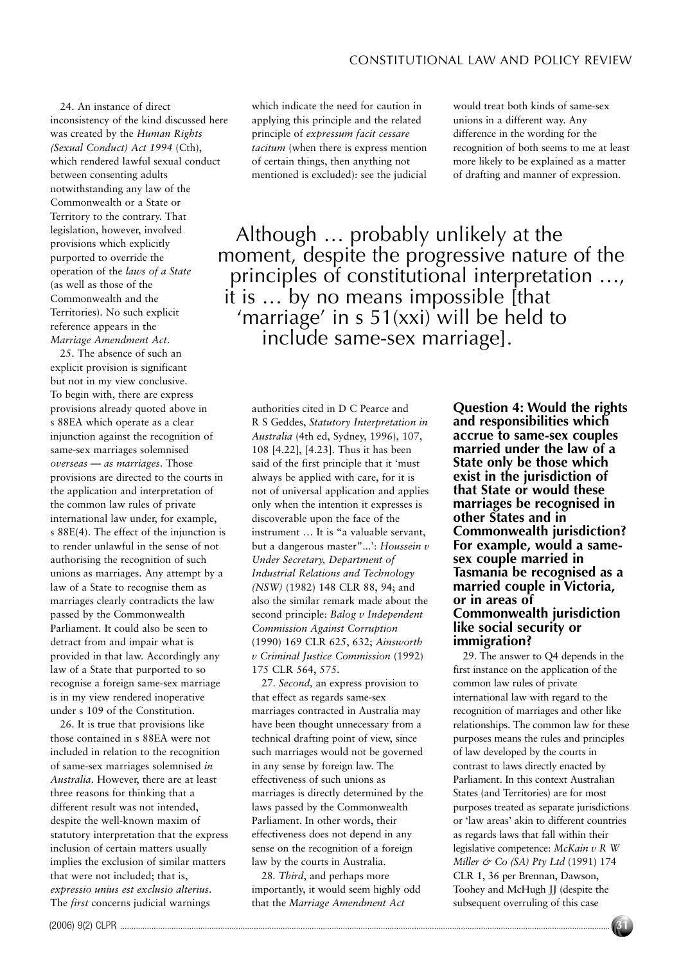24. An instance of direct inconsistency of the kind discussed here was created by the *Human Rights (Sexual Conduct) Act 1994* (Cth), which rendered lawful sexual conduct between consenting adults notwithstanding any law of the Commonwealth or a State or Territory to the contrary. That legislation, however, involved provisions which explicitly purported to override the operation of the *laws of a State* (as well as those of the Commonwealth and the Territories). No such explicit reference appears in the *Marriage Amendment Act*.

25. The absence of such an explicit provision is significant but not in my view conclusive. To begin with, there are express provisions already quoted above in s 88EA which operate as a clear injunction against the recognition of same-sex marriages solemnised *overseas* — *as marriages*. Those provisions are directed to the courts in the application and interpretation of the common law rules of private international law under, for example, s 88E(4). The effect of the injunction is to render unlawful in the sense of not authorising the recognition of such unions as marriages. Any attempt by a law of a State to recognise them as marriages clearly contradicts the law passed by the Commonwealth Parliament. It could also be seen to detract from and impair what is provided in that law. Accordingly any law of a State that purported to so recognise a foreign same-sex marriage is in my view rendered inoperative under s 109 of the Constitution.

26. It is true that provisions like those contained in s 88EA were not included in relation to the recognition of same-sex marriages solemnised *in Australia*. However, there are at least three reasons for thinking that a different result was not intended, despite the well-known maxim of statutory interpretation that the express inclusion of certain matters usually implies the exclusion of similar matters that were not included; that is, *expressio unius est exclusio alterius*. The *first* concerns judicial warnings

which indicate the need for caution in applying this principle and the related principle of *expressum facit cessare tacitum* (when there is express mention of certain things, then anything not mentioned is excluded): see the judicial

would treat both kinds of same-sex unions in a different way. Any difference in the wording for the recognition of both seems to me at least more likely to be explained as a matter of drafting and manner of expression.

Although … probably unlikely at the moment, despite the progressive nature of the principles of constitutional interpretation ..., it is … by no means impossible [that 'marriage' in s  $51(xxi)$  will be held to include same-sex marriage].

authorities cited in D C Pearce and R S Geddes, *Statutory Interpretation in Australia* (4th ed, Sydney, 1996), 107, 108 [4.22], [4.23]. Thus it has been said of the first principle that it 'must always be applied with care, for it is not of universal application and applies only when the intention it expresses is discoverable upon the face of the instrument … It is "a valuable servant, but a dangerous master"...': *Houssein v Under Secretary, Department of Industrial Relations and Technology (NSW)* (1982) 148 CLR 88, 94; and also the similar remark made about the second principle: *Balog v Independent Commission Against Corruption* (1990) 169 CLR 625, 632; *Ainsworth v Criminal Justice Commission* (1992) 175 CLR 564, 575.

27. *Second,* an express provision to that effect as regards same-sex marriages contracted in Australia may have been thought unnecessary from a technical drafting point of view, since such marriages would not be governed in any sense by foreign law. The effectiveness of such unions as marriages is directly determined by the laws passed by the Commonwealth Parliament. In other words, their effectiveness does not depend in any sense on the recognition of a foreign law by the courts in Australia.

28*. Third*, and perhaps more importantly, it would seem highly odd that the *Marriage Amendment Act*

**Question 4: Would the rights and responsibilities which accrue to same-sex couples married under the law of a State only be those which exist in the jurisdiction of that State or would these marriages be recognised in other States and in Commonwealth jurisdiction? For example, would a samesex couple married in Tasmania be recognised as a married couple in Victoria, or in areas of Commonwealth jurisdiction like social security or immigration?**

29. The answer to Q4 depends in the first instance on the application of the common law rules of private international law with regard to the recognition of marriages and other like relationships. The common law for these purposes means the rules and principles of law developed by the courts in contrast to laws directly enacted by Parliament. In this context Australian States (and Territories) are for most purposes treated as separate jurisdictions or 'law areas' akin to different countries as regards laws that fall within their legislative competence: *McKain v R W Miller & Co (SA) Pty Ltd* (1991) 174 CLR 1, 36 per Brennan, Dawson, Toohey and McHugh JJ (despite the subsequent overruling of this case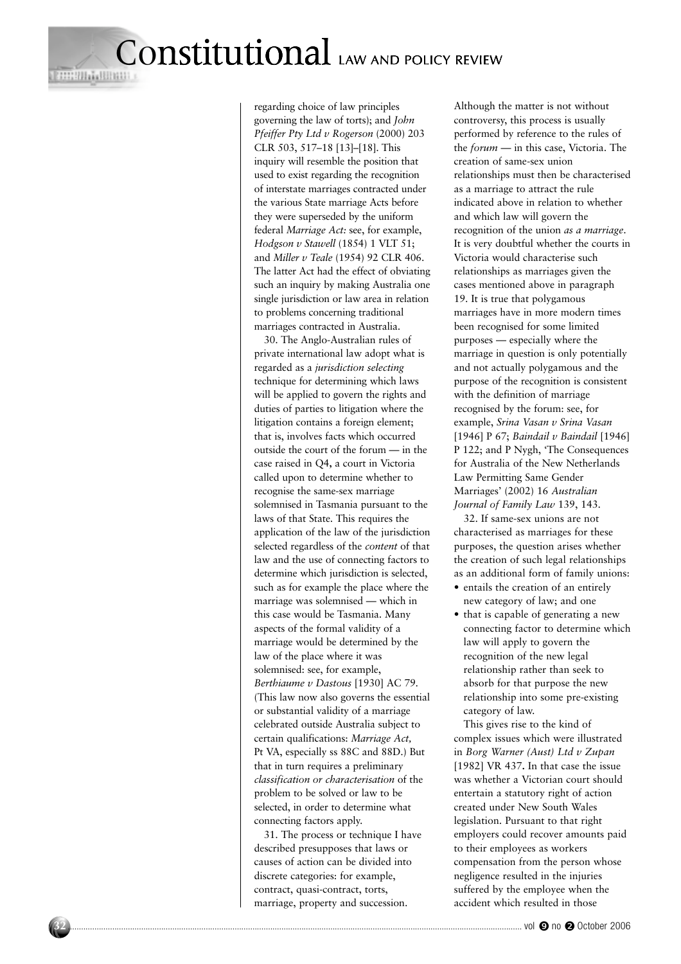regarding choice of law principles governing the law of torts); and *John Pfeiffer Pty Ltd v Rogerson* (2000) 203 CLR 503, 517–18 [13]–[18]. This inquiry will resemble the position that used to exist regarding the recognition of interstate marriages contracted under the various State marriage Acts before they were superseded by the uniform federal *Marriage Act:* see, for example, *Hodgson v Stawell* (1854) 1 VLT 51; and *Miller v Teale* (1954) 92 CLR 406. The latter Act had the effect of obviating such an inquiry by making Australia one single jurisdiction or law area in relation to problems concerning traditional marriages contracted in Australia.

30. The Anglo-Australian rules of private international law adopt what is regarded as a *jurisdiction selecting* technique for determining which laws will be applied to govern the rights and duties of parties to litigation where the litigation contains a foreign element; that is, involves facts which occurred outside the court of the forum — in the case raised in Q4**,** a court in Victoria called upon to determine whether to recognise the same-sex marriage solemnised in Tasmania pursuant to the laws of that State. This requires the application of the law of the jurisdiction selected regardless of the *content* of that law and the use of connecting factors to determine which jurisdiction is selected, such as for example the place where the marriage was solemnised — which in this case would be Tasmania. Many aspects of the formal validity of a marriage would be determined by the law of the place where it was solemnised: see, for example, *Berthiaume v Dastous* [1930] AC 79. (This law now also governs the essential or substantial validity of a marriage celebrated outside Australia subject to certain qualifications: *Marriage Act,* Pt VA, especially ss 88C and 88D.) But that in turn requires a preliminary *classification or characterisation* of the problem to be solved or law to be selected, in order to determine what connecting factors apply.

31. The process or technique I have described presupposes that laws or causes of action can be divided into discrete categories: for example, contract, quasi-contract, torts, marriage, property and succession.

Although the matter is not without controversy, this process is usually performed by reference to the rules of the *forum* — in this case, Victoria. The creation of same-sex union relationships must then be characterised as a marriage to attract the rule indicated above in relation to whether and which law will govern the recognition of the union *as a marriage*. It is very doubtful whether the courts in Victoria would characterise such relationships as marriages given the cases mentioned above in paragraph 19. It is true that polygamous marriages have in more modern times been recognised for some limited purposes — especially where the marriage in question is only potentially and not actually polygamous and the purpose of the recognition is consistent with the definition of marriage recognised by the forum: see, for example, *Srina Vasan v Srina Vasan* [1946] P 67; *Baindail v Baindail* [1946] P 122; and P Nygh, 'The Consequences for Australia of the New Netherlands Law Permitting Same Gender Marriages' (2002) 16 *Australian Journal of Family Law* 139, 143.

32. If same-sex unions are not characterised as marriages for these purposes, the question arises whether the creation of such legal relationships as an additional form of family unions:

- entails the creation of an entirely new category of law; and one
- that is capable of generating a new connecting factor to determine which law will apply to govern the recognition of the new legal relationship rather than seek to absorb for that purpose the new relationship into some pre-existing category of law.

This gives rise to the kind of complex issues which were illustrated in *Borg Warner (Aust) Ltd v Zupan* [1982] VR 437**.** In that case the issue was whether a Victorian court should entertain a statutory right of action created under New South Wales legislation. Pursuant to that right employers could recover amounts paid to their employees as workers compensation from the person whose negligence resulted in the injuries suffered by the employee when the accident which resulted in those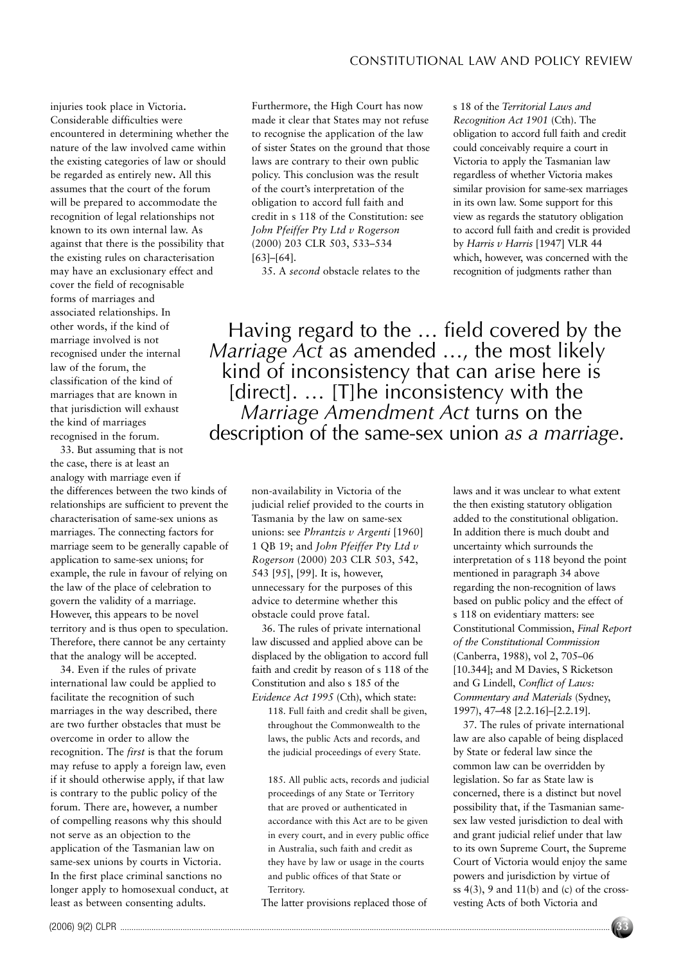injuries took place in Victoria**.** Considerable difficulties were encountered in determining whether the nature of the law involved came within the existing categories of law or should be regarded as entirely new**.** All this assumes that the court of the forum will be prepared to accommodate the recognition of legal relationships not known to its own internal law. As against that there is the possibility that the existing rules on characterisation may have an exclusionary effect and cover the field of recognisable forms of marriages and associated relationships. In other words, if the kind of marriage involved is not recognised under the internal law of the forum, the classification of the kind of marriages that are known in that jurisdiction will exhaust the kind of marriages recognised in the forum.

33. But assuming that is not the case, there is at least an analogy with marriage even if the differences between the two kinds of relationships are sufficient to prevent the characterisation of same-sex unions as marriages. The connecting factors for marriage seem to be generally capable of application to same-sex unions; for example, the rule in favour of relying on the law of the place of celebration to govern the validity of a marriage. However, this appears to be novel territory and is thus open to speculation. Therefore, there cannot be any certainty that the analogy will be accepted.

34. Even if the rules of private international law could be applied to facilitate the recognition of such marriages in the way described, there are two further obstacles that must be overcome in order to allow the recognition. The *first* is that the forum may refuse to apply a foreign law, even if it should otherwise apply, if that law is contrary to the public policy of the forum. There are, however, a number of compelling reasons why this should not serve as an objection to the application of the Tasmanian law on same-sex unions by courts in Victoria. In the first place criminal sanctions no longer apply to homosexual conduct, at least as between consenting adults.

Furthermore, the High Court has now made it clear that States may not refuse to recognise the application of the law of sister States on the ground that those laws are contrary to their own public policy. This conclusion was the result of the court's interpretation of the obligation to accord full faith and credit in s 118 of the Constitution: see *John Pfeiffer Pty Ltd v Rogerson* (2000) 203 CLR 503, 533–534 [63]–[64].

35. A *second* obstacle relates to the

s 18 of the *Territorial Laws and Recognition Act 1901* (Cth). The obligation to accord full faith and credit could conceivably require a court in Victoria to apply the Tasmanian law regardless of whether Victoria makes similar provision for same-sex marriages in its own law. Some support for this view as regards the statutory obligation to accord full faith and credit is provided by *Harris v Harris* [1947] VLR 44 which, however, was concerned with the recognition of judgments rather than

Having regard to the … field covered by the *Marriage Act* as amended …, the most likely kind of inconsistency that can arise here is [direct]. ... [T]he inconsistency with the *Marriage Amendment Act* turns on the description of the same-sex union *as a marriage*.

> non-availability in Victoria of the judicial relief provided to the courts in Tasmania by the law on same-sex unions: see *Phrantzis v Argenti* [1960] 1 QB 19; and *John Pfeiffer Pty Ltd v Rogerson* (2000) 203 CLR 503, 542, 543 [95], [99]. It is, however, unnecessary for the purposes of this advice to determine whether this obstacle could prove fatal.

36. The rules of private international law discussed and applied above can be displaced by the obligation to accord full faith and credit by reason of s 118 of the Constitution and also s 185 of the *Evidence Act 1995* (Cth), which state:

118. Full faith and credit shall be given, throughout the Commonwealth to the laws, the public Acts and records, and the judicial proceedings of every State.

185. All public acts, records and judicial proceedings of any State or Territory that are proved or authenticated in accordance with this Act are to be given in every court, and in every public office in Australia, such faith and credit as they have by law or usage in the courts and public offices of that State or Territory.

The latter provisions replaced those of

laws and it was unclear to what extent the then existing statutory obligation added to the constitutional obligation. In addition there is much doubt and uncertainty which surrounds the interpretation of s 118 beyond the point mentioned in paragraph 34 above regarding the non-recognition of laws based on public policy and the effect of s 118 on evidentiary matters: see Constitutional Commission, *Final Report of the Constitutional Commission* (Canberra, 1988), vol 2, 705–06 [10.344]; and M Davies, S Ricketson and G Lindell, *Conflict of Laws: Commentary and Materials* (Sydney, 1997), 47–48 [2.2.16]–[2.2.19].

37. The rules of private international law are also capable of being displaced by State or federal law since the common law can be overridden by legislation. So far as State law is concerned, there is a distinct but novel possibility that, if the Tasmanian samesex law vested jurisdiction to deal with and grant judicial relief under that law to its own Supreme Court, the Supreme Court of Victoria would enjoy the same powers and jurisdiction by virtue of ss  $4(3)$ , 9 and  $11(b)$  and (c) of the crossvesting Acts of both Victoria and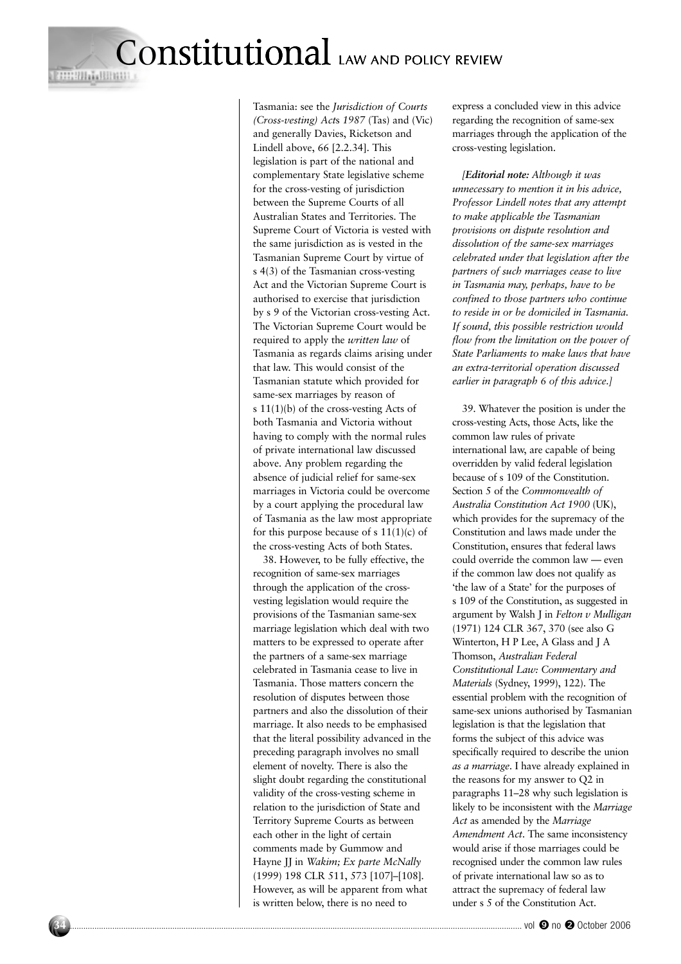Tasmania: see the *Jurisdiction of Courts (Cross-vesting) Act*s *1987* (Tas) and (Vic) and generally Davies, Ricketson and Lindell above, 66 [2.2.34]. This legislation is part of the national and complementary State legislative scheme for the cross-vesting of jurisdiction between the Supreme Courts of all Australian States and Territories. The Supreme Court of Victoria is vested with the same jurisdiction as is vested in the Tasmanian Supreme Court by virtue of s 4(3) of the Tasmanian cross-vesting Act and the Victorian Supreme Court is authorised to exercise that jurisdiction by s 9 of the Victorian cross-vesting Act. The Victorian Supreme Court would be required to apply the *written law* of Tasmania as regards claims arising under that law. This would consist of the Tasmanian statute which provided for same-sex marriages by reason of s 11(1)(b) of the cross-vesting Acts of both Tasmania and Victoria without having to comply with the normal rules of private international law discussed above. Any problem regarding the absence of judicial relief for same-sex marriages in Victoria could be overcome by a court applying the procedural law of Tasmania as the law most appropriate for this purpose because of s  $11(1)(c)$  of the cross-vesting Acts of both States.

38. However, to be fully effective, the recognition of same-sex marriages through the application of the crossvesting legislation would require the provisions of the Tasmanian same-sex marriage legislation which deal with two matters to be expressed to operate after the partners of a same-sex marriage celebrated in Tasmania cease to live in Tasmania. Those matters concern the resolution of disputes between those partners and also the dissolution of their marriage. It also needs to be emphasised that the literal possibility advanced in the preceding paragraph involves no small element of novelty. There is also the slight doubt regarding the constitutional validity of the cross-vesting scheme in relation to the jurisdiction of State and Territory Supreme Courts as between each other in the light of certain comments made by Gummow and Hayne JJ in *Wakim; Ex parte McNally* (1999) 198 CLR 511, 573 [107]–[108]*.* However, as will be apparent from what is written below, there is no need to

express a concluded view in this advice regarding the recognition of same-sex marriages through the application of the cross-vesting legislation.

*[Editorial note: Although it was unnecessary to mention it in his advice, Professor Lindell notes that any attempt to make applicable the Tasmanian provisions on dispute resolution and dissolution of the same-sex marriages celebrated under that legislation after the partners of such marriages cease to live in Tasmania may, perhaps, have to be confined to those partners who continue to reside in or be domiciled in Tasmania. If sound, this possible restriction would flow from the limitation on the power of State Parliaments to make laws that have an extra-territorial operation discussed earlier in paragraph 6 of this advice.]*

39. Whatever the position is under the cross-vesting Acts, those Acts, like the common law rules of private international law, are capable of being overridden by valid federal legislation because of s 109 of the Constitution. Section 5 of the *Commonwealth of Australia Constitution Act 1900* (UK), which provides for the supremacy of the Constitution and laws made under the Constitution, ensures that federal laws could override the common law — even if the common law does not qualify as 'the law of a State' for the purposes of s 109 of the Constitution, as suggested in argument by Walsh J in *Felton v Mulligan* (1971) 124 CLR 367, 370 (see also G Winterton, H P Lee, A Glass and J A Thomson, *Australian Federal Constitutional Law: Commentary and Materials* (Sydney, 1999), 122). The essential problem with the recognition of same-sex unions authorised by Tasmanian legislation is that the legislation that forms the subject of this advice was specifically required to describe the union *as a marriage*. I have already explained in the reasons for my answer to Q2 in paragraphs 11–28 why such legislation is likely to be inconsistent with the *Marriage Act* as amended by the *Marriage Amendment Act*. The same inconsistency would arise if those marriages could be recognised under the common law rules of private international law so as to attract the supremacy of federal law under s 5 of the Constitution Act.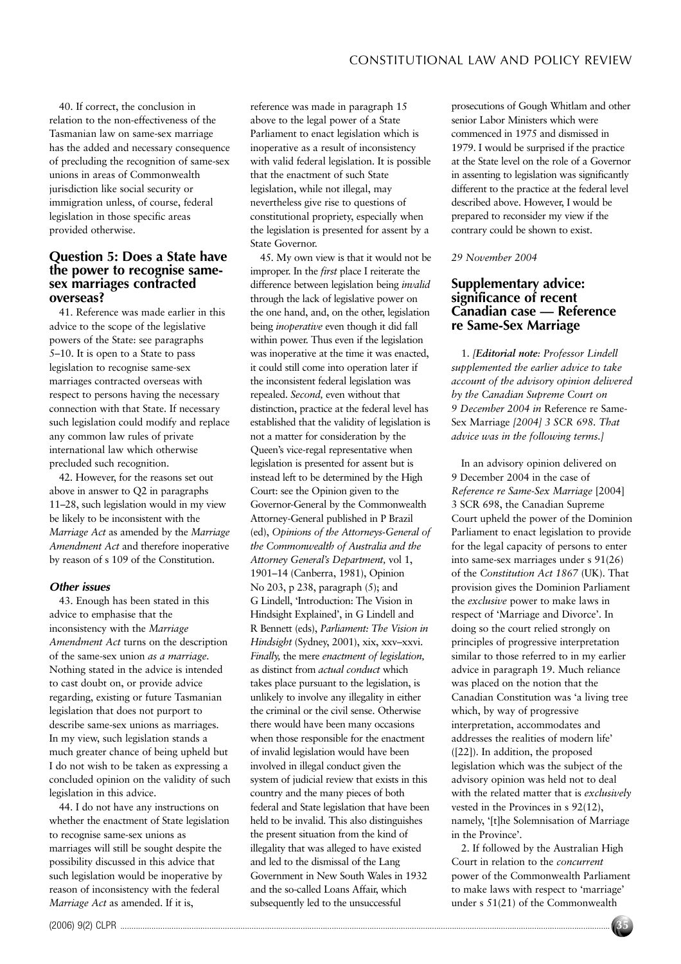40. If correct, the conclusion in relation to the non-effectiveness of the Tasmanian law on same-sex marriage has the added and necessary consequence of precluding the recognition of same-sex unions in areas of Commonwealth jurisdiction like social security or immigration unless, of course, federal legislation in those specific areas provided otherwise.

### **Question 5: Does a State have the power to recognise samesex marriages contracted overseas?**

41. Reference was made earlier in this advice to the scope of the legislative powers of the State: see paragraphs 5–10. It is open to a State to pass legislation to recognise same-sex marriages contracted overseas with respect to persons having the necessary connection with that State. If necessary such legislation could modify and replace any common law rules of private international law which otherwise precluded such recognition.

42. However, for the reasons set out above in answer to Q2 in paragraphs 11–28, such legislation would in my view be likely to be inconsistent with the *Marriage Act* as amended by the *Marriage Amendment Act* and therefore inoperative by reason of s 109 of the Constitution.

### *Other issues*

43. Enough has been stated in this advice to emphasise that the inconsistency with the *Marriage Amendment Act* turns on the description of the same-sex union *as a marriage.* Nothing stated in the advice is intended to cast doubt on, or provide advice regarding, existing or future Tasmanian legislation that does not purport to describe same-sex unions as marriages. In my view, such legislation stands a much greater chance of being upheld but I do not wish to be taken as expressing a concluded opinion on the validity of such legislation in this advice.

44. I do not have any instructions on whether the enactment of State legislation to recognise same-sex unions as marriages will still be sought despite the possibility discussed in this advice that such legislation would be inoperative by reason of inconsistency with the federal *Marriage Act* as amended. If it is,

reference was made in paragraph 15 above to the legal power of a State Parliament to enact legislation which is inoperative as a result of inconsistency with valid federal legislation. It is possible that the enactment of such State legislation, while not illegal, may nevertheless give rise to questions of constitutional propriety, especially when the legislation is presented for assent by a State Governor.

45. My own view is that it would not be improper. In the *first* place I reiterate the difference between legislation being *invalid* through the lack of legislative power on the one hand, and, on the other, legislation being *inoperative* even though it did fall within power. Thus even if the legislation was inoperative at the time it was enacted, it could still come into operation later if the inconsistent federal legislation was repealed. *Second,* even without that distinction, practice at the federal level has established that the validity of legislation is not a matter for consideration by the Queen's vice-regal representative when legislation is presented for assent but is instead left to be determined by the High Court: see the Opinion given to the Governor-General by the Commonwealth Attorney-General published in P Brazil (ed), *Opinions of the Attorneys-General of the Commonwealth of Australia and the Attorney General's Department,* vol 1, 1901–14 (Canberra, 1981), Opinion No 203, p 238, paragraph (5); and G Lindell, 'Introduction: The Vision in Hindsight Explained', in G Lindell and R Bennett (eds), *Parliament: The Vision in Hindsight* (Sydney, 2001), xix, xxv–xxvi. *Finally,* the mere *enactment of legislation,* as distinct from *actual conduct* which takes place pursuant to the legislation, is unlikely to involve any illegality in either the criminal or the civil sense. Otherwise there would have been many occasions when those responsible for the enactment of invalid legislation would have been involved in illegal conduct given the system of judicial review that exists in this country and the many pieces of both federal and State legislation that have been held to be invalid. This also distinguishes the present situation from the kind of illegality that was alleged to have existed and led to the dismissal of the Lang Government in New South Wales in 1932 and the so-called Loans Affair, which subsequently led to the unsuccessful

prosecutions of Gough Whitlam and other senior Labor Ministers which were commenced in 1975 and dismissed in 1979. I would be surprised if the practice at the State level on the role of a Governor in assenting to legislation was significantly different to the practice at the federal level described above. However, I would be prepared to reconsider my view if the contrary could be shown to exist.

*29 November 2004*

### **Supplementary advice: significance of recent Canadian case — Reference re Same-Sex Marriage**

1. *[Editorial note: Professor Lindell supplemented the earlier advice to take account of the advisory opinion delivered by the Canadian Supreme Court on 9 December 2004 in* Reference re Same-Sex Marriage *[2004] 3 SCR 698. That advice was in the following terms.]*

In an advisory opinion delivered on 9 December 2004 in the case of *Reference re Same-Sex Marriage* [2004] 3 SCR 698, the Canadian Supreme Court upheld the power of the Dominion Parliament to enact legislation to provide for the legal capacity of persons to enter into same-sex marriages under s 91(26) of the *Constitution Act 1867* (UK). That provision gives the Dominion Parliament the *exclusive* power to make laws in respect of 'Marriage and Divorce'. In doing so the court relied strongly on principles of progressive interpretation similar to those referred to in my earlier advice in paragraph 19. Much reliance was placed on the notion that the Canadian Constitution was 'a living tree which, by way of progressive interpretation, accommodates and addresses the realities of modern life' ([22]). In addition, the proposed legislation which was the subject of the advisory opinion was held not to deal with the related matter that is *exclusively* vested in the Provinces in s 92(12), namely, '[t]he Solemnisation of Marriage in the Province'.

2. If followed by the Australian High Court in relation to the *concurrent* power of the Commonwealth Parliament to make laws with respect to 'marriage' under s 51(21) of the Commonwealth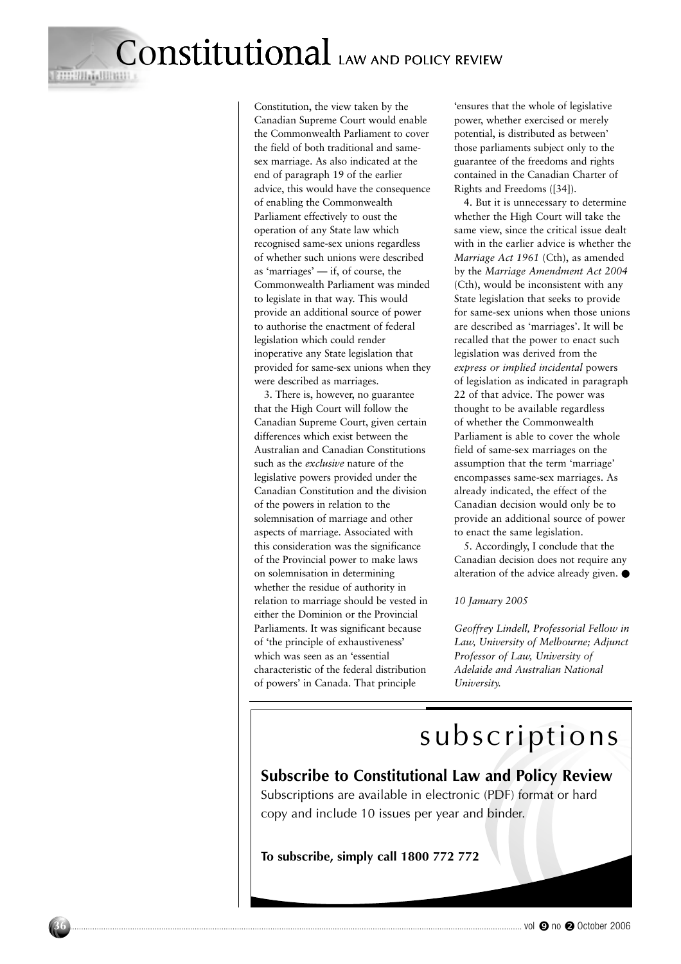Constitution, the view taken by the Canadian Supreme Court would enable the Commonwealth Parliament to cover the field of both traditional and samesex marriage. As also indicated at the end of paragraph 19 of the earlier advice, this would have the consequence of enabling the Commonwealth Parliament effectively to oust the operation of any State law which recognised same-sex unions regardless of whether such unions were described as 'marriages' — if, of course, the Commonwealth Parliament was minded to legislate in that way. This would provide an additional source of power to authorise the enactment of federal legislation which could render inoperative any State legislation that provided for same-sex unions when they were described as marriages.

3. There is, however, no guarantee that the High Court will follow the Canadian Supreme Court, given certain differences which exist between the Australian and Canadian Constitutions such as the *exclusive* nature of the legislative powers provided under the Canadian Constitution and the division of the powers in relation to the solemnisation of marriage and other aspects of marriage. Associated with this consideration was the significance of the Provincial power to make laws on solemnisation in determining whether the residue of authority in relation to marriage should be vested in either the Dominion or the Provincial Parliaments. It was significant because of 'the principle of exhaustiveness' which was seen as an 'essential characteristic of the federal distribution of powers' in Canada. That principle

'ensures that the whole of legislative power, whether exercised or merely potential, is distributed as between' those parliaments subject only to the guarantee of the freedoms and rights contained in the Canadian Charter of Rights and Freedoms ([34]).

4. But it is unnecessary to determine whether the High Court will take the same view, since the critical issue dealt with in the earlier advice is whether the *Marriage Act 1961* (Cth), as amended by the *Marriage Amendment Act 2004* (Cth), would be inconsistent with any State legislation that seeks to provide for same-sex unions when those unions are described as 'marriages'. It will be recalled that the power to enact such legislation was derived from the *express or implied incidental* powers of legislation as indicated in paragraph 22 of that advice. The power was thought to be available regardless of whether the Commonwealth Parliament is able to cover the whole field of same-sex marriages on the assumption that the term 'marriage' encompasses same-sex marriages. As already indicated, the effect of the Canadian decision would only be to provide an additional source of power to enact the same legislation.

5. Accordingly, I conclude that the Canadian decision does not require any alteration of the advice already given. ●

*10 January 2005*

*Geoffrey Lindell, Professorial Fellow in Law, University of Melbourne; Adjunct Professor of Law, University of Adelaide and Australian National University.*

## subscriptions

### **Subscribe to Constitutional Law and Policy Review**

Subscriptions are available in electronic (PDF) format or hard copy and include 10 issues per year and binder.

**To subscribe, simply call 1800 772 772**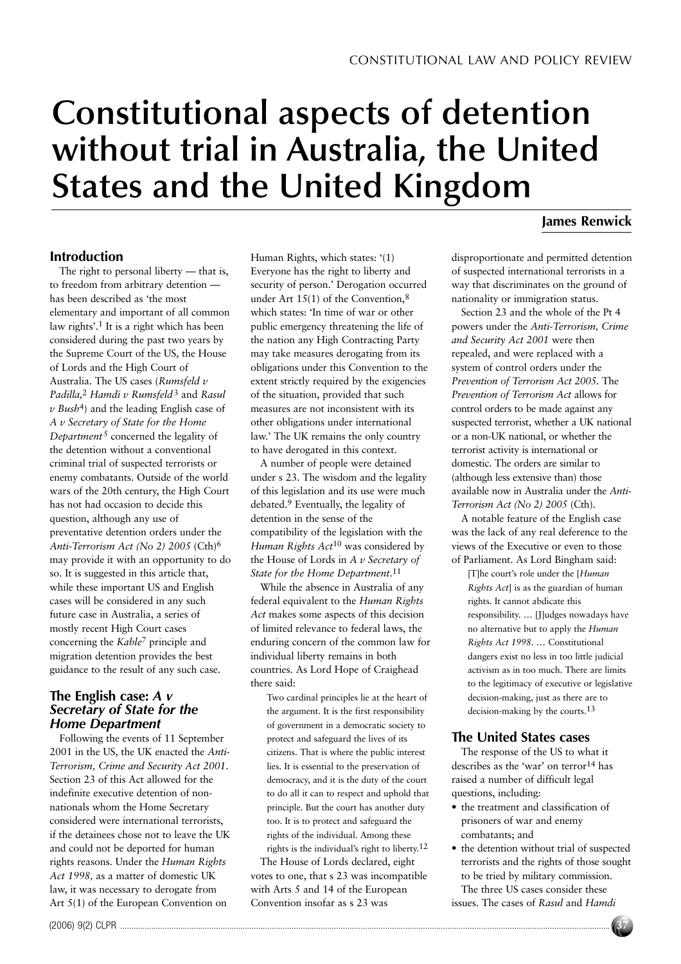# <span id="page-16-0"></span>**Constitutional aspects of detention without trial in Australia, the United States and the United Kingdom**

### **Introduction**

The right to personal liberty — that is, to freedom from arbitrary detention has been described as 'the most elementary and important of all common law rights'.1 It is a right which has been considered during the past two years by the Supreme Court of the US, the House of Lords and the High Court of Australia. The US cases (*Rumsfeld v Padilla,*2 *Hamdi v Rumsfeld*3 and *Rasul v Bush*4) and the leading English case of *A v Secretary of State for the Home Department*5 concerned the legality of the detention without a conventional criminal trial of suspected terrorists or enemy combatants. Outside of the world wars of the 20th century, the High Court has not had occasion to decide this question, although any use of preventative detention orders under the *Anti-Terrorism Act (No 2) 2005* (Cth)6 may provide it with an opportunity to do so. It is suggested in this article that, while these important US and English cases will be considered in any such future case in Australia, a series of mostly recent High Court cases concerning the *Kable*7 principle and migration detention provides the best guidance to the result of any such case.

### **The English case:** *A v Secretary of State for the Home Department*

Following the events of 11 September 2001 in the US, the UK enacted the *Anti-Terrorism, Crime and Security Act 2001*. Section 23 of this Act allowed for the indefinite executive detention of nonnationals whom the Home Secretary considered were international terrorists, if the detainees chose not to leave the UK and could not be deported for human rights reasons. Under the *Human Rights Act 1998,* as a matter of domestic UK law, it was necessary to derogate from Art 5(1) of the European Convention on

Human Rights, which states: '(1) Everyone has the right to liberty and security of person.' Derogation occurred under Art  $15(1)$  of the Convention,  $8$ which states: 'In time of war or other public emergency threatening the life of the nation any High Contracting Party may take measures derogating from its obligations under this Convention to the extent strictly required by the exigencies of the situation, provided that such measures are not inconsistent with its other obligations under international law.' The UK remains the only country to have derogated in this context.

A number of people were detained under s 23. The wisdom and the legality of this legislation and its use were much debated.9 Eventually, the legality of detention in the sense of the compatibility of the legislation with the *Human Rights Act*10 was considered by the House of Lords in *A v Secretary of State for the Home Department*.11

While the absence in Australia of any federal equivalent to the *Human Rights Act* makes some aspects of this decision of limited relevance to federal laws, the enduring concern of the common law for individual liberty remains in both countries. As Lord Hope of Craighead there said:

Two cardinal principles lie at the heart of the argument. It is the first responsibility of government in a democratic society to protect and safeguard the lives of its citizens. That is where the public interest lies. It is essential to the preservation of democracy, and it is the duty of the court to do all it can to respect and uphold that principle. But the court has another duty too. It is to protect and safeguard the rights of the individual. Among these rights is the individual's right to liberty.12

The House of Lords declared, eight votes to one, that s 23 was incompatible with Arts 5 and 14 of the European Convention insofar as s 23 was

### **James Renwick**

disproportionate and permitted detention of suspected international terrorists in a way that discriminates on the ground of nationality or immigration status.

Section 23 and the whole of the Pt 4 powers under the *Anti-Terrorism, Crime and Security Act 2001* were then repealed, and were replaced with a system of control orders under the *Prevention of Terrorism Act 2005.* The *Prevention of Terrorism Act* allows for control orders to be made against any suspected terrorist, whether a UK national or a non-UK national, or whether the terrorist activity is international or domestic. The orders are similar to (although less extensive than) those available now in Australia under the *Anti-Terrorism Act (No 2) 2005* (Cth).

A notable feature of the English case was the lack of any real deference to the views of the Executive or even to those of Parliament. As Lord Bingham said:

[T]he court's role under the [*Human Rights Act*] is as the guardian of human rights. It cannot abdicate this responsibility. … [J]udges nowadays have no alternative but to apply the *Human Rights Act 1998*. … Constitutional dangers exist no less in too little judicial activism as in too much. There are limits to the legitimacy of executive or legislative decision-making, just as there are to decision-making by the courts.13

### **The United States cases**

The response of the US to what it describes as the 'war' on terror<sup>14</sup> has raised a number of difficult legal questions, including:

- the treatment and classification of prisoners of war and enemy combatants; and
- the detention without trial of suspected terrorists and the rights of those sought to be tried by military commission.

The three US cases consider these issues. The cases of *Rasul* and *Hamdi*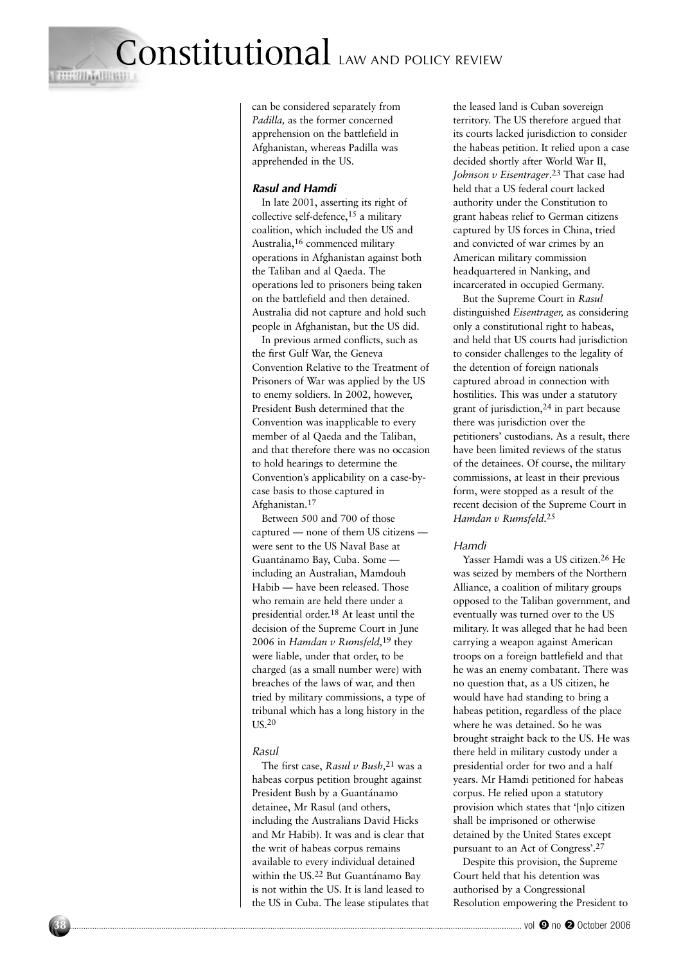can be considered separately from *Padilla,* as the former concerned apprehension on the battlefield in Afghanistan, whereas Padilla was apprehended in the US.

### *Rasul and Hamdi*

In late 2001, asserting its right of collective self-defence,15 a military coalition, which included the US and Australia,16 commenced military operations in Afghanistan against both the Taliban and al Qaeda. The operations led to prisoners being taken on the battlefield and then detained. Australia did not capture and hold such people in Afghanistan, but the US did.

In previous armed conflicts, such as the first Gulf War, the Geneva Convention Relative to the Treatment of Prisoners of War was applied by the US to enemy soldiers. In 2002, however, President Bush determined that the Convention was inapplicable to every member of al Qaeda and the Taliban, and that therefore there was no occasion to hold hearings to determine the Convention's applicability on a case-bycase basis to those captured in Afghanistan.17

Between 500 and 700 of those captured — none of them US citizens were sent to the US Naval Base at Guantánamo Bay, Cuba. Some including an Australian, Mamdouh Habib — have been released. Those who remain are held there under a presidential order.18 At least until the decision of the Supreme Court in June 2006 in *Hamdan v Rumsfeld,*19 they were liable, under that order, to be charged (as a small number were) with breaches of the laws of war, and then tried by military commissions, a type of tribunal which has a long history in the US.20

### *Rasul*

The first case, *Rasul v Bush,*21 was a habeas corpus petition brought against President Bush by a Guantánamo detainee, Mr Rasul (and others, including the Australians David Hicks and Mr Habib). It was and is clear that the writ of habeas corpus remains available to every individual detained within the US.22 But Guantánamo Bay is not within the US. It is land leased to the US in Cuba. The lease stipulates that the leased land is Cuban sovereign territory. The US therefore argued that its courts lacked jurisdiction to consider the habeas petition. It relied upon a case decided shortly after World War II, *Johnson v Eisentrager*.23 That case had held that a US federal court lacked authority under the Constitution to grant habeas relief to German citizens captured by US forces in China, tried and convicted of war crimes by an American military commission headquartered in Nanking, and incarcerated in occupied Germany.

But the Supreme Court in *Rasul* distinguished *Eisentrager,* as considering only a constitutional right to habeas, and held that US courts had jurisdiction to consider challenges to the legality of the detention of foreign nationals captured abroad in connection with hostilities. This was under a statutory grant of jurisdiction,24 in part because there was jurisdiction over the petitioners' custodians. As a result, there have been limited reviews of the status of the detainees. Of course, the military commissions, at least in their previous form, were stopped as a result of the recent decision of the Supreme Court in *Hamdan v Rumsfeld.*25

### *Hamdi*

Yasser Hamdi was a US citizen.26 He was seized by members of the Northern Alliance, a coalition of military groups opposed to the Taliban government, and eventually was turned over to the US military. It was alleged that he had been carrying a weapon against American troops on a foreign battlefield and that he was an enemy combatant. There was no question that, as a US citizen, he would have had standing to bring a habeas petition, regardless of the place where he was detained. So he was brought straight back to the US. He was there held in military custody under a presidential order for two and a half years. Mr Hamdi petitioned for habeas corpus. He relied upon a statutory provision which states that '[n]o citizen shall be imprisoned or otherwise detained by the United States except pursuant to an Act of Congress'.27

Despite this provision, the Supreme Court held that his detention was authorised by a Congressional Resolution empowering the President to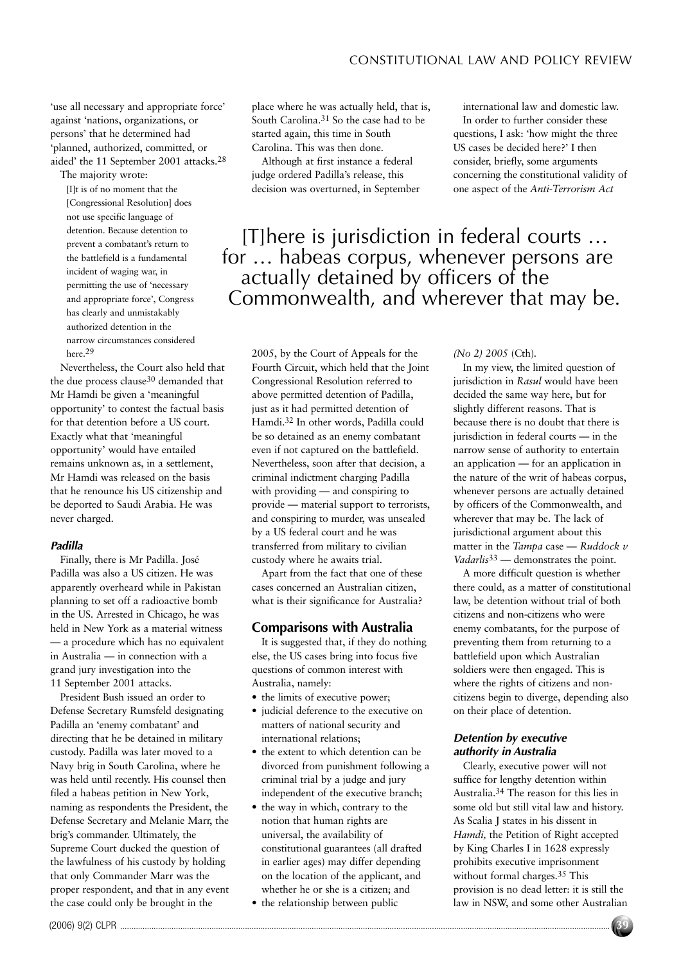'use all necessary and appropriate force' against 'nations, organizations, or persons' that he determined had 'planned, authorized, committed, or aided' the 11 September 2001 attacks.28 The majority wrote:

[I]t is of no moment that the [Congressional Resolution] does not use specific language of detention. Because detention to prevent a combatant's return to the battlefield is a fundamental incident of waging war, in permitting the use of 'necessary and appropriate force', Congress has clearly and unmistakably authorized detention in the narrow circumstances considered here.29

Nevertheless, the Court also held that the due process clause30 demanded that Mr Hamdi be given a 'meaningful opportunity' to contest the factual basis for that detention before a US court. Exactly what that 'meaningful opportunity' would have entailed remains unknown as, in a settlement, Mr Hamdi was released on the basis that he renounce his US citizenship and be deported to Saudi Arabia. He was never charged.

### *Padilla*

Finally, there is Mr Padilla. José Padilla was also a US citizen. He was apparently overheard while in Pakistan planning to set off a radioactive bomb in the US. Arrested in Chicago, he was held in New York as a material witness — a procedure which has no equivalent in Australia — in connection with a grand jury investigation into the 11 September 2001 attacks.

President Bush issued an order to Defense Secretary Rumsfeld designating Padilla an 'enemy combatant' and directing that he be detained in military custody. Padilla was later moved to a Navy brig in South Carolina, where he was held until recently. His counsel then filed a habeas petition in New York, naming as respondents the President, the Defense Secretary and Melanie Marr, the brig's commander. Ultimately, the Supreme Court ducked the question of the lawfulness of his custody by holding that only Commander Marr was the proper respondent, and that in any event the case could only be brought in the

place where he was actually held, that is, South Carolina.31 So the case had to be started again, this time in South Carolina. This was then done.

Although at first instance a federal judge ordered Padilla's release, this decision was overturned, in September

international law and domestic law. In order to further consider these questions, I ask: 'how might the three US cases be decided here?' I then consider, briefly, some arguments concerning the constitutional validity of one aspect of the *Anti-Terrorism Act*

### [T]here is jurisdiction in federal courts … for … habeas corpus, whenever persons are actually detained by officers of the Commonwealth, and wherever that may be.

2005, by the Court of Appeals for the Fourth Circuit, which held that the Joint Congressional Resolution referred to above permitted detention of Padilla, just as it had permitted detention of Hamdi.32 In other words, Padilla could be so detained as an enemy combatant even if not captured on the battlefield. Nevertheless, soon after that decision, a criminal indictment charging Padilla with providing — and conspiring to provide — material support to terrorists, and conspiring to murder, was unsealed by a US federal court and he was transferred from military to civilian custody where he awaits trial.

Apart from the fact that one of these cases concerned an Australian citizen, what is their significance for Australia?

### **Comparisons with Australia**

It is suggested that, if they do nothing else, the US cases bring into focus five questions of common interest with Australia, namely:

- the limits of executive power;
- judicial deference to the executive on matters of national security and international relations;
- the extent to which detention can be divorced from punishment following a criminal trial by a judge and jury independent of the executive branch;
- the way in which, contrary to the notion that human rights are universal, the availability of constitutional guarantees (all drafted in earlier ages) may differ depending on the location of the applicant, and whether he or she is a citizen; and
- the relationship between public

#### *(No 2) 2005* (Cth)*.*

In my view, the limited question of jurisdiction in *Rasul* would have been decided the same way here, but for slightly different reasons. That is because there is no doubt that there is jurisdiction in federal courts — in the narrow sense of authority to entertain an application — for an application in the nature of the writ of habeas corpus, whenever persons are actually detained by officers of the Commonwealth, and wherever that may be. The lack of jurisdictional argument about this matter in the *Tampa* case — *Ruddock v Vadarlis*33 — demonstrates the point.

A more difficult question is whether there could, as a matter of constitutional law, be detention without trial of both citizens and non-citizens who were enemy combatants, for the purpose of preventing them from returning to a battlefield upon which Australian soldiers were then engaged. This is where the rights of citizens and noncitizens begin to diverge, depending also on their place of detention.

### *Detention by executive authority in Australia*

Clearly, executive power will not suffice for lengthy detention within Australia.34 The reason for this lies in some old but still vital law and history. As Scalia J states in his dissent in *Hamdi,* the Petition of Right accepted by King Charles I in 1628 expressly prohibits executive imprisonment without formal charges.<sup>35</sup> This provision is no dead letter: it is still the law in NSW, and some other Australian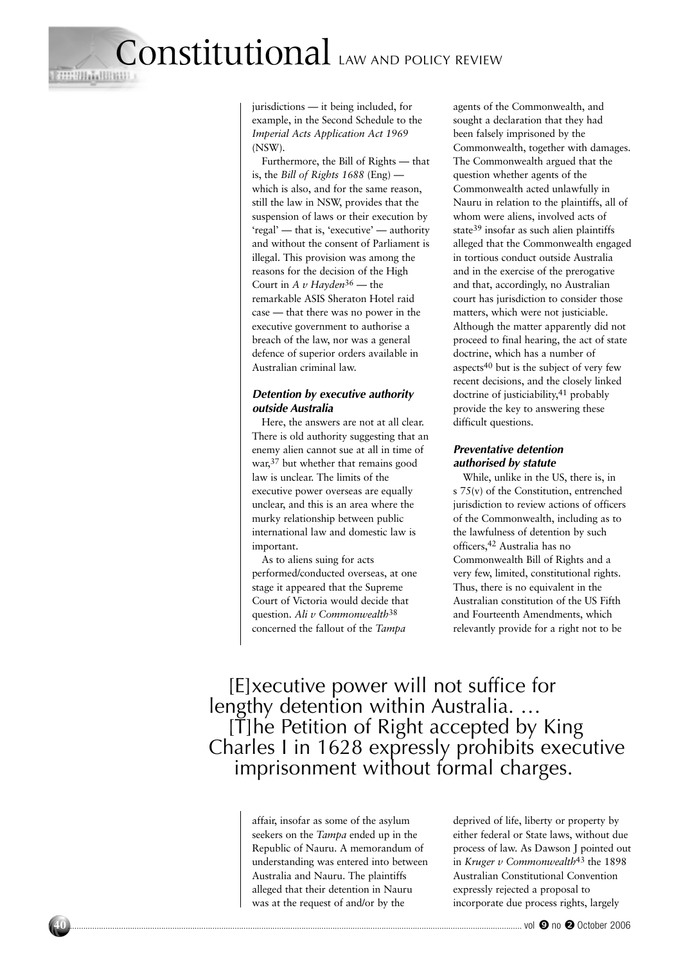jurisdictions — it being included, for example, in the Second Schedule to the *Imperial Acts Application Act 1969* (NSW).

Furthermore, the Bill of Rights — that is, the *Bill of Rights 1688* (Eng) which is also, and for the same reason, still the law in NSW, provides that the suspension of laws or their execution by 'regal' — that is, 'executive' — authority and without the consent of Parliament is illegal. This provision was among the reasons for the decision of the High Court in *A v Hayden*36 — the remarkable ASIS Sheraton Hotel raid case — that there was no power in the executive government to authorise a breach of the law, nor was a general defence of superior orders available in Australian criminal law.

### *Detention by executive authority outside Australia*

Here, the answers are not at all clear. There is old authority suggesting that an enemy alien cannot sue at all in time of war,37 but whether that remains good law is unclear. The limits of the executive power overseas are equally unclear, and this is an area where the murky relationship between public international law and domestic law is important.

As to aliens suing for acts performed/conducted overseas, at one stage it appeared that the Supreme Court of Victoria would decide that question. *Ali v Commonwealth*38 concerned the fallout of the *Tampa*

agents of the Commonwealth, and sought a declaration that they had been falsely imprisoned by the Commonwealth, together with damages. The Commonwealth argued that the question whether agents of the Commonwealth acted unlawfully in Nauru in relation to the plaintiffs, all of whom were aliens, involved acts of state39 insofar as such alien plaintiffs alleged that the Commonwealth engaged in tortious conduct outside Australia and in the exercise of the prerogative and that, accordingly, no Australian court has jurisdiction to consider those matters, which were not justiciable. Although the matter apparently did not proceed to final hearing, the act of state doctrine, which has a number of aspects40 but is the subject of very few recent decisions, and the closely linked doctrine of justiciability, 41 probably provide the key to answering these difficult questions.

### *Preventative detention authorised by statute*

While, unlike in the US, there is, in s 75(v) of the Constitution, entrenched jurisdiction to review actions of officers of the Commonwealth, including as to the lawfulness of detention by such officers,42 Australia has no Commonwealth Bill of Rights and a very few, limited, constitutional rights. Thus, there is no equivalent in the Australian constitution of the US Fifth and Fourteenth Amendments, which relevantly provide for a right not to be

### [E]xecutive power will not suffice for lengthy detention within Australia. …  $[\tilde{T}]$ he Petition of Right accepted by King Charles I in 1628 expressly prohibits executive imprisonment without formal charges.

affair, insofar as some of the asylum seekers on the *Tampa* ended up in the Republic of Nauru. A memorandum of understanding was entered into between Australia and Nauru. The plaintiffs alleged that their detention in Nauru was at the request of and/or by the

deprived of life, liberty or property by either federal or State laws, without due process of law. As Dawson J pointed out in *Kruger v Commonwealth*43 the 1898 Australian Constitutional Convention expressly rejected a proposal to incorporate due process rights, largely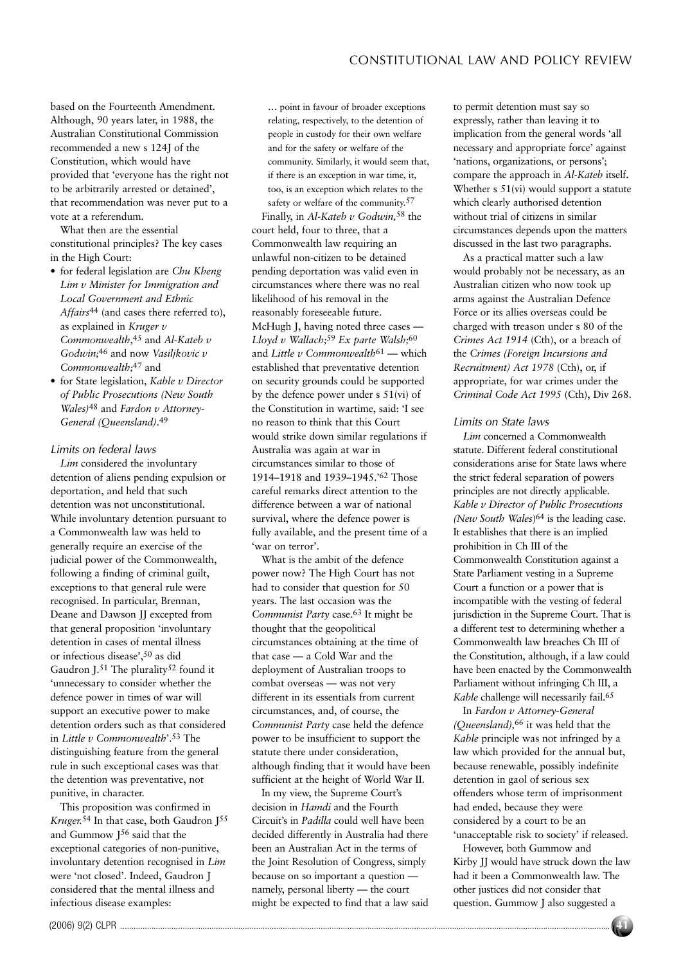based on the Fourteenth Amendment. Although, 90 years later, in 1988, the Australian Constitutional Commission recommended a new s 124J of the Constitution, which would have provided that 'everyone has the right not to be arbitrarily arrested or detained', that recommendation was never put to a vote at a referendum.

What then are the essential constitutional principles? The key cases in the High Court:

- for federal legislation are *Chu Kheng Lim v Minister for Immigration and Local Government and Ethnic Affairs*44 (and cases there referred to), as explained in *Kruger v Commonwealth*,45 and *Al-Kateb v Godwin;*46 and now *Vasiljkovic v Commonwealth;*47 and
- for State legislation, *Kable v Director of Public Prosecutions (New South Wales)*48 and *Fardon v Attorney-General (Queensland)*.49

### *Limits on federal laws*

*Lim* considered the involuntary detention of aliens pending expulsion or deportation, and held that such detention was not unconstitutional. While involuntary detention pursuant to a Commonwealth law was held to generally require an exercise of the judicial power of the Commonwealth, following a finding of criminal guilt, exceptions to that general rule were recognised. In particular, Brennan, Deane and Dawson JJ excepted from that general proposition 'involuntary detention in cases of mental illness or infectious disease',50 as did Gaudron J.<sup>51</sup> The plurality<sup>52</sup> found it 'unnecessary to consider whether the defence power in times of war will support an executive power to make detention orders such as that considered in *Little v Commonwealth*'.53 The distinguishing feature from the general rule in such exceptional cases was that the detention was preventative, not punitive, in character.

This proposition was confirmed in *Kruger.*<sup>54</sup> In that case, both Gaudron  $1^{55}$ and Gummow J56 said that the exceptional categories of non-punitive, involuntary detention recognised in *Lim* were 'not closed'. Indeed, Gaudron J considered that the mental illness and infectious disease examples:

… point in favour of broader exceptions relating, respectively, to the detention of people in custody for their own welfare and for the safety or welfare of the community. Similarly, it would seem that, if there is an exception in war time, it, too, is an exception which relates to the safety or welfare of the community.57

Finally, in *Al-Kateb v Godwin,*58 the court held, four to three, that a Commonwealth law requiring an unlawful non-citizen to be detained pending deportation was valid even in circumstances where there was no real likelihood of his removal in the reasonably foreseeable future. McHugh J, having noted three cases — *Lloyd v Wallach;*59 *Ex parte Walsh;*60 and *Little v Commonwealth*61 — which established that preventative detention on security grounds could be supported by the defence power under s 51(vi) of the Constitution in wartime, said: 'I see no reason to think that this Court would strike down similar regulations if Australia was again at war in circumstances similar to those of 1914–1918 and 1939–1945.'62 Those careful remarks direct attention to the difference between a war of national survival, where the defence power is fully available, and the present time of a 'war on terror'.

What is the ambit of the defence power now? The High Court has not had to consider that question for 50 years. The last occasion was the *Communist Party* case.63 It might be thought that the geopolitical circumstances obtaining at the time of that case — a Cold War and the deployment of Australian troops to combat overseas — was not very different in its essentials from current circumstances, and, of course, the *Communist Party* case held the defence power to be insufficient to support the statute there under consideration, although finding that it would have been sufficient at the height of World War II.

In my view, the Supreme Court's decision in *Hamdi* and the Fourth Circuit's in *Padilla* could well have been decided differently in Australia had there been an Australian Act in the terms of the Joint Resolution of Congress, simply because on so important a question namely, personal liberty — the court might be expected to find that a law said to permit detention must say so expressly, rather than leaving it to implication from the general words 'all necessary and appropriate force' against 'nations, organizations, or persons'; compare the approach in *Al-Kateb* itself**.** Whether s 51(vi) would support a statute which clearly authorised detention without trial of citizens in similar circumstances depends upon the matters discussed in the last two paragraphs.

As a practical matter such a law would probably not be necessary, as an Australian citizen who now took up arms against the Australian Defence Force or its allies overseas could be charged with treason under s 80 of the *Crimes Act 1914* (Cth), or a breach of the *Crimes (Foreign Incursions and Recruitment) Act 1978* (Cth), or, if appropriate, for war crimes under the *Criminal Code Act 1995* (Cth), Div 268.

### *Limits on State laws*

*Lim* concerned a Commonwealth statute. Different federal constitutional considerations arise for State laws where the strict federal separation of powers principles are not directly applicable. *Kable v Director of Public Prosecutions (New South Wales*)64 is the leading case. It establishes that there is an implied prohibition in Ch III of the Commonwealth Constitution against a State Parliament vesting in a Supreme Court a function or a power that is incompatible with the vesting of federal jurisdiction in the Supreme Court. That is a different test to determining whether a Commonwealth law breaches Ch III of the Constitution, although, if a law could have been enacted by the Commonwealth Parliament without infringing Ch III, a *Kable* challenge will necessarily fail.65

In *Fardon v Attorney-General (Queensland),*66 it was held that the *Kable* principle was not infringed by a law which provided for the annual but, because renewable, possibly indefinite detention in gaol of serious sex offenders whose term of imprisonment had ended, because they were considered by a court to be an 'unacceptable risk to society' if released.

However, both Gummow and Kirby II would have struck down the law had it been a Commonwealth law. The other justices did not consider that question. Gummow J also suggested a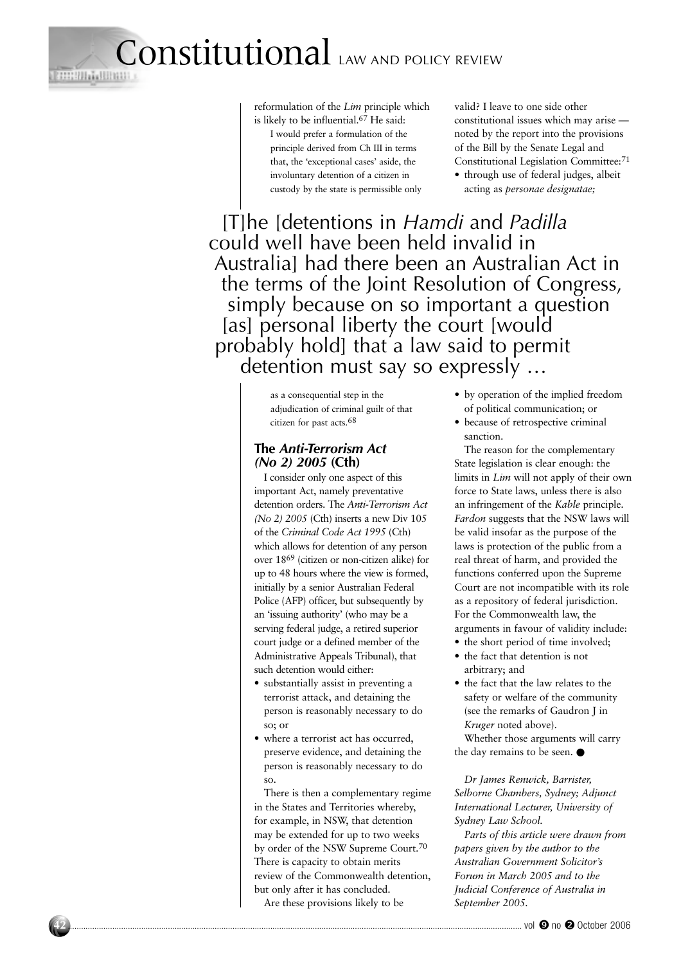reformulation of the *Lim* principle which is likely to be influential.67 He said:

I would prefer a formulation of the principle derived from Ch III in terms that, the 'exceptional cases' aside, the involuntary detention of a citizen in custody by the state is permissible only valid? I leave to one side other constitutional issues which may arise noted by the report into the provisions of the Bill by the Senate Legal and Constitutional Legislation Committee:71 • through use of federal judges, albeit

acting as *personae designatae;*

[T]he [detentions in *Hamdi* and *Padilla* could well have been held invalid in Australia] had there been an Australian Act in the terms of the Joint Resolution of Congress, simply because on so important a question [as] personal liberty the court [would probably hold] that a law said to permit detention must say so expressly …

> as a consequential step in the adjudication of criminal guilt of that citizen for past acts.68

### **The** *Anti-Terrorism Act (No 2) 2005* **(Cth)**

I consider only one aspect of this important Act, namely preventative detention orders. The *Anti-Terrorism Act (No 2) 2005* (Cth) inserts a new Div 105 of the *Criminal Code Act 1995* (Cth) which allows for detention of any person over 1869 (citizen or non-citizen alike) for up to 48 hours where the view is formed, initially by a senior Australian Federal Police (AFP) officer, but subsequently by an 'issuing authority' (who may be a serving federal judge, a retired superior court judge or a defined member of the Administrative Appeals Tribunal), that such detention would either:

- substantially assist in preventing a terrorist attack, and detaining the person is reasonably necessary to do so; or
- where a terrorist act has occurred. preserve evidence, and detaining the person is reasonably necessary to do so.

There is then a complementary regime in the States and Territories whereby, for example, in NSW, that detention may be extended for up to two weeks by order of the NSW Supreme Court.70 There is capacity to obtain merits review of the Commonwealth detention, but only after it has concluded.

Are these provisions likely to be

- by operation of the implied freedom of political communication; or
- because of retrospective criminal sanction.

The reason for the complementary State legislation is clear enough: the limits in *Lim* will not apply of their own force to State laws, unless there is also an infringement of the *Kable* principle. *Fardon* suggests that the NSW laws will be valid insofar as the purpose of the laws is protection of the public from a real threat of harm, and provided the functions conferred upon the Supreme Court are not incompatible with its role as a repository of federal jurisdiction. For the Commonwealth law, the arguments in favour of validity include:

- the short period of time involved; • the fact that detention is not arbitrary; and
- the fact that the law relates to the safety or welfare of the community (see the remarks of Gaudron J in *Kruger* noted above).

Whether those arguments will carry the day remains to be seen. ●

*Dr James Renwick, Barrister, Selborne Chambers, Sydney; Adjunct International Lecturer, University of Sydney Law School.* 

*Parts of this article were drawn from papers given by the author to the Australian Government Solicitor's Forum in March 2005 and to the Judicial Conference of Australia in September 2005.*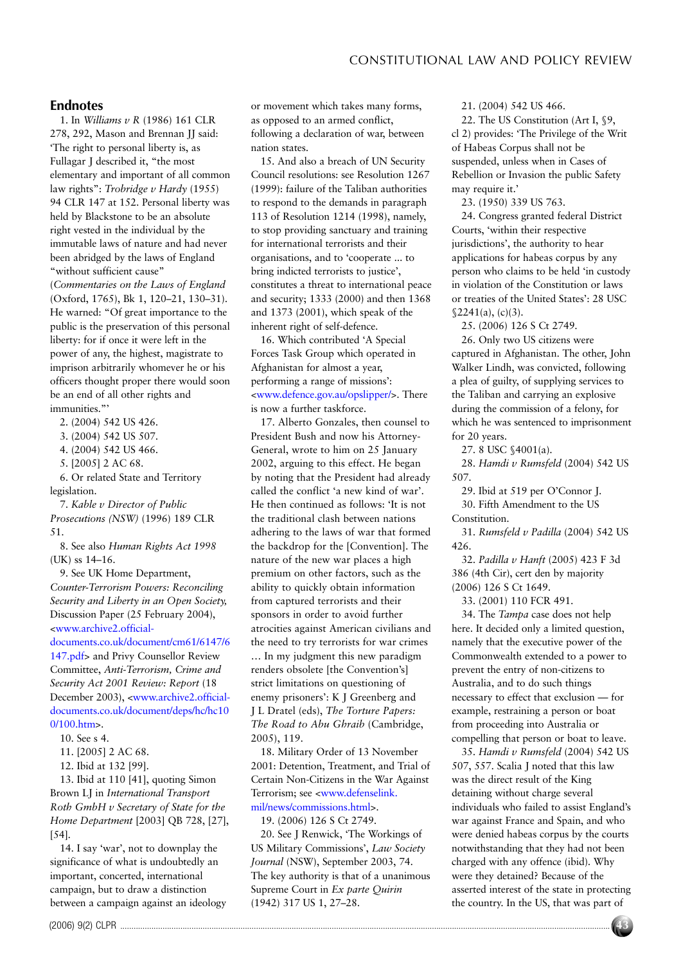### **Endnotes**

1. In *Williams v R* (1986) 161 CLR 278, 292, Mason and Brennan II said: 'The right to personal liberty is, as Fullagar J described it, "the most elementary and important of all common law rights": *Trobridge v Hardy* (1955) 94 CLR 147 at 152. Personal liberty was held by Blackstone to be an absolute right vested in the individual by the immutable laws of nature and had never been abridged by the laws of England "without sufficient cause" (*Commentaries on the Laws of England* (Oxford, 1765), Bk 1, 120–21, 130–31). He warned: "Of great importance to the public is the preservation of this personal liberty: for if once it were left in the power of any, the highest, magistrate to imprison arbitrarily whomever he or his officers thought proper there would soon be an end of all other rights and immunities."

2. (2004) 542 US 426.

3. (2004) 542 US 507.

4. (2004) 542 US 466.

5. [2005] 2 AC 68.

6. Or related State and Territory legislation.

7. *Kable v Director of Public Prosecutions (NSW)* (1996) 189 CLR 51.

8. See also *Human Rights Act 1998* (UK) ss 14–16.

9. See UK Home Department, *Counter-Terrorism Powers: Reconciling Security and Liberty in an Open Society,* Discussion Paper (25 February 2004), [<www.archive2.official-](http://www.archive2.official-documents.co.uk/document/cm61/6147/6147.pdf)

[documents.co.uk/document/cm61/6147/6](http://www.archive2.official-documents.co.uk/document/cm61/6147/6147.pdf) [147.pdf>](http://www.archive2.official-documents.co.uk/document/cm61/6147/6147.pdf) and Privy Counsellor Review Committee, *Anti-Terrorism, Crime and Security Act 2001 Review: Report* (18 December 2003), [<www.archive2.official](http://www.archive2.official-documents.co.uk/document/deps/hc/hc100/100.htm)[documents.co.uk/document/deps/hc/hc10](http://www.archive2.official-documents.co.uk/document/deps/hc/hc100/100.htm) 0/100.htm>.

10. See s 4.

13. Ibid at 110 [41], quoting Simon Brown LJ in *International Transport Roth GmbH v Secretary of State for the Home Department* [2003] QB 728, [27], [54].

14. I say 'war', not to downplay the significance of what is undoubtedly an important, concerted, international campaign, but to draw a distinction between a campaign against an ideology or movement which takes many forms, as opposed to an armed conflict, following a declaration of war, between nation states.

15. And also a breach of UN Security Council resolutions: see Resolution 1267 (1999): failure of the Taliban authorities to respond to the demands in paragraph 113 of Resolution 1214 (1998), namely, to stop providing sanctuary and training for international terrorists and their organisations, and to 'cooperate ... to bring indicted terrorists to justice', constitutes a threat to international peace and security; 1333 (2000) and then 1368 and 1373 (2001), which speak of the inherent right of self-defence.

16. Which contributed 'A Special Forces Task Group which operated in Afghanistan for almost a year, performing a range of missions': [<www.defence.gov.au/opslipper/>](http://www.defence.gov.au/opslipper/). There is now a further taskforce.

17. Alberto Gonzales, then counsel to President Bush and now his Attorney-General, wrote to him on 25 January 2002, arguing to this effect. He began by noting that the President had already called the conflict 'a new kind of war'. He then continued as follows: 'It is not the traditional clash between nations adhering to the laws of war that formed the backdrop for the [Convention]. The nature of the new war places a high premium on other factors, such as the ability to quickly obtain information from captured terrorists and their sponsors in order to avoid further atrocities against American civilians and the need to try terrorists for war crimes … In my judgment this new paradigm renders obsolete [the Convention's] strict limitations on questioning of enemy prisoners': K J Greenberg and J L Dratel (eds), *The Torture Papers: The Road to Abu Ghraib* (Cambridge, 2005), 119.

18. Military Order of 13 November 2001: Detention, Treatment, and Trial of Certain Non-Citizens in the War Against Terrorism; see [<www.defenselink.](http://www.defenselink.mil/news/commissions.html) [mil/news/commissions.html>](http://www.defenselink.mil/news/commissions.html).

19. (2006) 126 S Ct 2749.

20. See J Renwick, 'The Workings of US Military Commissions', *Law Society Journal* (NSW), September 2003, 74. The key authority is that of a unanimous Supreme Court in *Ex parte Quirin* (1942) 317 US 1, 27–28.

21. (2004) 542 US 466.

22. The US Constitution (Art I, §9, cl 2) provides: 'The Privilege of the Writ of Habeas Corpus shall not be suspended, unless when in Cases of Rebellion or Invasion the public Safety may require it.'

23. (1950) 339 US 763.

24. Congress granted federal District Courts, 'within their respective jurisdictions', the authority to hear applications for habeas corpus by any person who claims to be held 'in custody in violation of the Constitution or laws or treaties of the United States': 28 USC  $$2241(a), (c)(3).$ 

25. (2006) 126 S Ct 2749.

26. Only two US citizens were captured in Afghanistan. The other, John Walker Lindh, was convicted, following a plea of guilty, of supplying services to the Taliban and carrying an explosive during the commission of a felony, for which he was sentenced to imprisonment for 20 years.

27. 8 USC §4001(a).

28. *Hamdi v Rumsfeld* (2004) 542 US 507.

29. Ibid at 519 per O'Connor J. 30. Fifth Amendment to the US

**Constitution** 

31. *Rumsfeld v Padilla* (2004) 542 US 426.

32. *Padilla v Hanft* (2005) 423 F 3d 386 (4th Cir), cert den by majority (2006) 126 S Ct 1649.

33. (2001) 110 FCR 491.

34. The *Tampa* case does not help here. It decided only a limited question, namely that the executive power of the Commonwealth extended to a power to prevent the entry of non-citizens to Australia, and to do such things necessary to effect that exclusion — for example, restraining a person or boat from proceeding into Australia or compelling that person or boat to leave.

35. *Hamdi v Rumsfeld* (2004) 542 US 507, 557. Scalia J noted that this law was the direct result of the King detaining without charge several individuals who failed to assist England's war against France and Spain, and who were denied habeas corpus by the courts notwithstanding that they had not been charged with any offence (ibid). Why were they detained? Because of the asserted interest of the state in protecting the country. In the US, that was part of

<sup>11. [2005] 2</sup> AC 68.

<sup>12.</sup> Ibid at 132 [99].